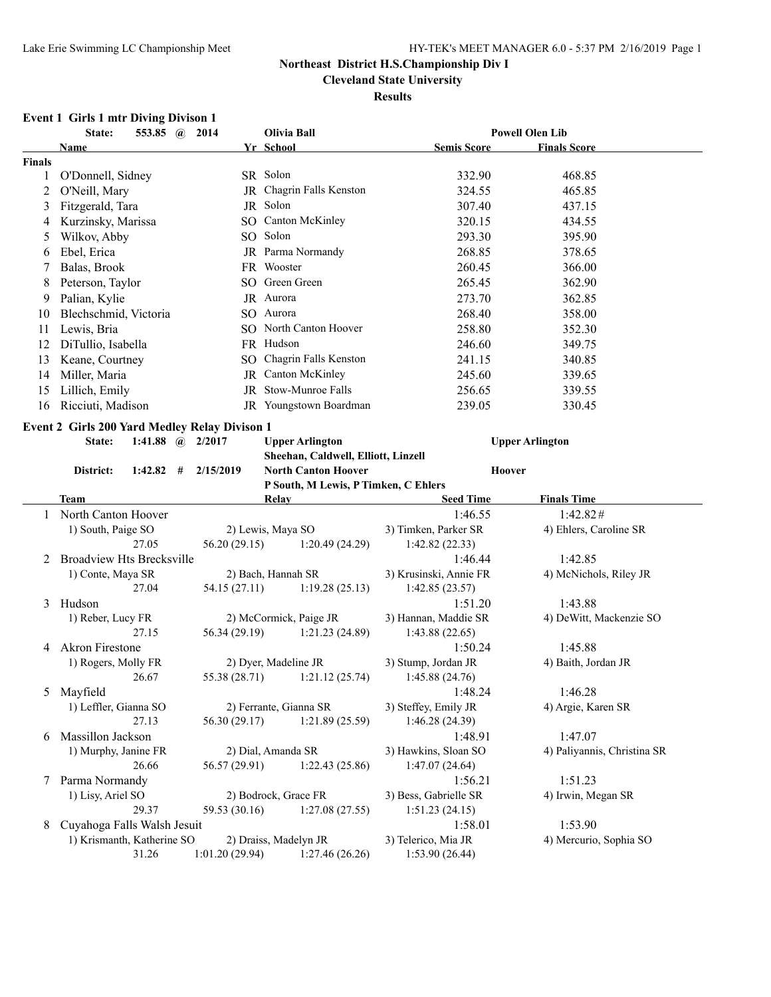**Cleveland State University**

#### **Results**

# **Event 1 Girls 1 mtr Diving Divison 1**

|               | State:                                               | 553.85 @ 2014      |                | <b>Olivia Ball</b>                   |                           | <b>Powell Olen Lib</b>      |
|---------------|------------------------------------------------------|--------------------|----------------|--------------------------------------|---------------------------|-----------------------------|
|               | Name                                                 |                    |                | Yr School                            | <b>Semis Score</b>        | <b>Finals Score</b>         |
| <b>Finals</b> |                                                      |                    |                |                                      |                           |                             |
| 1             | O'Donnell, Sidney                                    |                    |                | SR Solon                             | 332.90                    | 468.85                      |
| 2             | O'Neill, Mary                                        |                    |                | JR Chagrin Falls Kenston             | 324.55                    | 465.85                      |
| 3             | Fitzgerald, Tara                                     |                    |                | JR Solon                             | 307.40                    | 437.15                      |
| 4             | Kurzinsky, Marissa                                   |                    |                | SO Canton McKinley                   | 320.15                    | 434.55                      |
| 5             | Wilkov, Abby                                         |                    |                | SO Solon                             | 293.30                    | 395.90                      |
| 6             | Ebel, Erica                                          |                    |                | JR Parma Normandy                    | 268.85                    | 378.65                      |
| 7             | Balas, Brook                                         |                    |                | FR Wooster                           | 260.45                    | 366.00                      |
| 8             | Peterson, Taylor                                     |                    |                | SO Green Green                       | 265.45                    | 362.90                      |
| 9             | Palian, Kylie                                        |                    |                | JR Aurora                            | 273.70                    | 362.85                      |
| 10            | Blechschmid, Victoria                                |                    |                | SO Aurora                            | 268.40                    | 358.00                      |
| 11            | Lewis, Bria                                          |                    |                | SO North Canton Hoover               | 258.80                    | 352.30                      |
| 12            | DiTullio, Isabella                                   |                    |                | FR Hudson                            | 246.60                    | 349.75                      |
| 13            | Keane, Courtney                                      |                    |                | SO Chagrin Falls Kenston             | 241.15                    | 340.85                      |
| 14            | Miller, Maria                                        |                    |                | JR Canton McKinley                   | 245.60                    | 339.65                      |
| 15            | Lillich, Emily                                       |                    |                | JR Stow-Munroe Falls                 | 256.65                    | 339.55                      |
| 16            | Ricciuti, Madison                                    |                    |                | JR Youngstown Boardman               | 239.05                    | 330.45                      |
|               |                                                      |                    |                |                                      |                           |                             |
|               | <b>Event 2 Girls 200 Yard Medley Relay Divison 1</b> |                    |                |                                      |                           |                             |
|               | State:                                               | 1:41.88 @ $2/2017$ |                | <b>Upper Arlington</b>               |                           | <b>Upper Arlington</b>      |
|               |                                                      |                    |                | Sheehan, Caldwell, Elliott, Linzell  |                           |                             |
|               | District:                                            | $1:42.82$ #        | 2/15/2019      | <b>North Canton Hoover</b>           | <b>Hoover</b>             |                             |
|               |                                                      |                    |                | P South, M Lewis, P Timken, C Ehlers |                           |                             |
|               | <b>Team</b>                                          |                    |                | Relav                                | <b>Seed Time</b>          | <b>Finals Time</b>          |
|               | North Canton Hoover                                  |                    |                |                                      | 1:46.55                   | 1:42.82#                    |
|               | 1) South, Paige SO                                   | 27.05              | 56.20(29.15)   | 2) Lewis, Maya SO<br>1:20.49(24.29)  | 3) Timken, Parker SR      | 4) Ehlers, Caroline SR      |
|               | <b>Broadview Hts Brecksville</b>                     |                    |                |                                      | 1:42.82(22.33)<br>1:46.44 | 1:42.85                     |
| 2             |                                                      |                    |                | 2) Bach, Hannah SR                   | 3) Krusinski, Annie FR    | 4) McNichols, Riley JR      |
|               | 1) Conte, Maya SR                                    | 27.04              | 54.15 (27.11)  | 1:19.28(25.13)                       | 1:42.85(23.57)            |                             |
| 3             | Hudson                                               |                    |                |                                      | 1:51.20                   | 1:43.88                     |
|               | 1) Reber, Lucy FR                                    |                    |                | 2) McCormick, Paige JR               | 3) Hannan, Maddie SR      | 4) DeWitt, Mackenzie SO     |
|               |                                                      | 27.15              | 56.34 (29.19)  | 1:21.23(24.89)                       | 1:43.88(22.65)            |                             |
| 4             | Akron Firestone                                      |                    |                |                                      | 1:50.24                   | 1:45.88                     |
|               | 1) Rogers, Molly FR                                  |                    |                | 2) Dyer, Madeline JR                 | 3) Stump, Jordan JR       | 4) Baith, Jordan JR         |
|               |                                                      | 26.67              | 55.38 (28.71)  | 1:21.12(25.74)                       | 1:45.88(24.76)            |                             |
|               | 5 Mayfield                                           |                    |                |                                      | 1:48.24                   | 1:46.28                     |
|               | 1) Leffler, Gianna SO                                |                    |                | 2) Ferrante, Gianna SR               | 3) Steffey, Emily JR      | 4) Argie, Karen SR          |
|               |                                                      | 27.13              | 56.30 (29.17)  | 1:21.89(25.59)                       | 1:46.28(24.39)            |                             |
| 6             | Massillon Jackson                                    |                    |                |                                      | 1:48.91                   | 1:47.07                     |
|               | 1) Murphy, Janine FR                                 |                    |                | 2) Dial, Amanda SR                   | 3) Hawkins, Sloan SO      | 4) Paliyannis, Christina SR |
|               |                                                      | 26.66              | 56.57 (29.91)  | 1:22.43(25.86)                       | 1:47.07(24.64)            |                             |
| 7             | Parma Normandy                                       |                    |                |                                      | 1:56.21                   | 1:51.23                     |
|               | 1) Lisy, Ariel SO                                    |                    |                | 2) Bodrock, Grace FR                 | 3) Bess, Gabrielle SR     | 4) Irwin, Megan SR          |
|               |                                                      | 29.37              | 59.53 (30.16)  | 1:27.08(27.55)                       | 1:51.23(24.15)            |                             |
| 8             | Cuyahoga Falls Walsh Jesuit                          |                    |                |                                      | 1:58.01                   | 1:53.90                     |
|               | 1) Krismanth, Katherine SO                           |                    |                | 2) Draiss, Madelyn JR                | 3) Telerico, Mia JR       | 4) Mercurio, Sophia SO      |
|               |                                                      | 31.26              | 1:01.20(29.94) | 1:27.46(26.26)                       | 1:53.90(26.44)            |                             |
|               |                                                      |                    |                |                                      |                           |                             |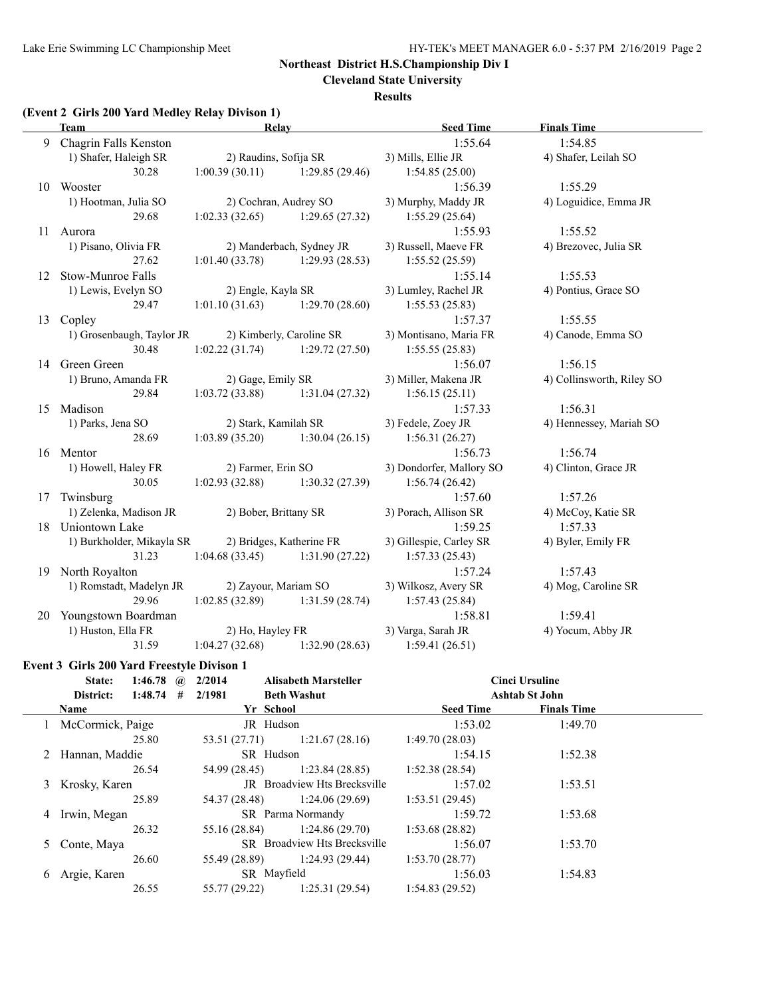**Cleveland State University**

#### **Results**

#### **(Event 2 Girls 200 Yard Medley Relay Divison 1)**

|    | <b>Team</b>               | Relay                             |                      | <b>Seed Time</b>         | <b>Finals Time</b>        |
|----|---------------------------|-----------------------------------|----------------------|--------------------------|---------------------------|
| 9  | Chagrin Falls Kenston     |                                   |                      | 1:55.64                  | 1:54.85                   |
|    | 1) Shafer, Haleigh SR     | 2) Raudins, Sofija SR             |                      | 3) Mills, Ellie JR       | 4) Shafer, Leilah SO      |
|    | 30.28                     | 1:00.39(30.11)                    | 1:29.85(29.46)       | 1:54.85(25.00)           |                           |
| 10 | Wooster                   |                                   |                      | 1:56.39                  | 1:55.29                   |
|    | 1) Hootman, Julia SO      | 2) Cochran, Audrey SO             |                      | 3) Murphy, Maddy JR      | 4) Loguidice, Emma JR     |
|    | 29.68                     | $1:02.33(32.65)$ $1:29.65(27.32)$ |                      | 1:55.29(25.64)           |                           |
|    | 11 Aurora                 |                                   |                      | 1:55.93                  | 1:55.52                   |
|    | 1) Pisano, Olivia FR      | 2) Manderbach, Sydney JR          |                      | 3) Russell, Maeve FR     | 4) Brezovec, Julia SR     |
|    | 27.62                     | $1:01.40(33.78)$ $1:29.93(28.53)$ |                      | 1:55.52(25.59)           |                           |
| 12 | Stow-Munroe Falls         |                                   |                      | 1:55.14                  | 1:55.53                   |
|    | 1) Lewis, Evelyn SO       | 2) Engle, Kayla SR                |                      | 3) Lumley, Rachel JR     | 4) Pontius, Grace SO      |
|    | 29.47                     | $1:01.10(31.63)$ $1:29.70(28.60)$ |                      | 1:55.53(25.83)           |                           |
| 13 | Copley                    |                                   |                      | 1:57.37                  | 1:55.55                   |
|    | 1) Grosenbaugh, Taylor JR | 2) Kimberly, Caroline SR          |                      | 3) Montisano, Maria FR   | 4) Canode, Emma SO        |
|    | 30.48                     | $1:02.22(31.74)$ $1:29.72(27.50)$ |                      | 1:55.55(25.83)           |                           |
|    | 14 Green Green            |                                   |                      | 1:56.07                  | 1:56.15                   |
|    | 1) Bruno, Amanda FR       | 2) Gage, Emily SR                 |                      | 3) Miller, Makena JR     | 4) Collinsworth, Riley SO |
|    | 29.84                     | $1:03.72(33.88)$ $1:31.04(27.32)$ |                      | 1:56.15(25.11)           |                           |
|    | 15 Madison                |                                   |                      | 1:57.33                  | 1:56.31                   |
|    | 1) Parks, Jena SO         |                                   | 2) Stark, Kamilah SR | 3) Fedele, Zoey JR       | 4) Hennessey, Mariah SO   |
|    | 28.69                     | $1:03.89(35.20)$ $1:30.04(26.15)$ |                      | 1:56.31(26.27)           |                           |
|    | 16 Mentor                 |                                   |                      | 1:56.73                  | 1:56.74                   |
|    | 1) Howell, Haley FR       | 2) Farmer, Erin SO                |                      | 3) Dondorfer, Mallory SO | 4) Clinton, Grace JR      |
|    | 30.05                     | $1:02.93(32.88)$ $1:30.32(27.39)$ |                      | 1:56.74(26.42)           |                           |
| 17 | Twinsburg                 |                                   |                      | 1:57.60                  | 1:57.26                   |
|    | 1) Zelenka, Madison JR    | 2) Bober, Brittany SR             |                      | 3) Porach, Allison SR    | 4) McCoy, Katie SR        |
|    | 18 Uniontown Lake         |                                   |                      | 1:59.25                  | 1:57.33                   |
|    | 1) Burkholder, Mikayla SR | 2) Bridges, Katherine FR          |                      | 3) Gillespie, Carley SR  | 4) Byler, Emily FR        |
|    | 31.23                     | $1:04.68(33.45)$ $1:31.90(27.22)$ |                      | 1:57.33(25.43)           |                           |
| 19 | North Royalton            |                                   |                      | 1:57.24                  | 1:57.43                   |
|    | 1) Romstadt, Madelyn JR   | 2) Zayour, Mariam SO              |                      | 3) Wilkosz, Avery SR     | 4) Mog, Caroline SR       |
|    | 29.96                     | $1:02.85(32.89)$ $1:31.59(28.74)$ |                      | 1:57.43(25.84)           |                           |
|    | 20 Youngstown Boardman    |                                   |                      | 1:58.81                  | 1:59.41                   |
|    | 1) Huston, Ella FR        | 2) Ho, Hayley FR                  |                      | 3) Varga, Sarah JR       | 4) Yocum, Abby JR         |
|    | 31.59                     | 1:04.27(32.68)                    | 1:32.90(28.63)       | 1:59.41(26.51)           |                           |
|    |                           |                                   |                      |                          |                           |

# **Event 3 Girls 200 Yard Freestyle Divison 1**

| State:             | 1:46.78 | $\mathbf{a}$ | 2/2014        | <b>Alisabeth Marsteller</b>         |                  | <b>Cinci Ursuline</b> |  |
|--------------------|---------|--------------|---------------|-------------------------------------|------------------|-----------------------|--|
| District:          | 1:48.74 | #            | 2/1981        | <b>Beth Washut</b>                  |                  | <b>Ashtab St John</b> |  |
| <b>Name</b>        |         |              |               | Yr School                           | <b>Seed Time</b> | <b>Finals Time</b>    |  |
| 1 McCormick, Paige |         |              |               | <b>JR</b> Hudson                    | 1:53.02          | 1:49.70               |  |
|                    | 25.80   |              | 53.51 (27.71) | 1:21.67(28.16)                      | 1:49.70(28.03)   |                       |  |
| 2 Hannan, Maddie   |         |              |               | SR Hudson                           | 1:54.15          | 1:52.38               |  |
|                    | 26.54   |              | 54.99 (28.45) | 1:23.84(28.85)                      | 1:52.38(28.54)   |                       |  |
| 3 Krosky, Karen    |         |              |               | <b>JR</b> Broadview Hts Brecksville | 1:57.02          | 1:53.51               |  |
|                    | 25.89   |              | 54.37 (28.48) | 1:24.06(29.69)                      | 1:53.51(29.45)   |                       |  |
| 4 Irwin, Megan     |         |              |               | SR Parma Normandy                   | 1:59.72          | 1:53.68               |  |
|                    | 26.32   |              | 55.16 (28.84) | 1:24.86(29.70)                      | 1:53.68(28.82)   |                       |  |
| 5 Conte, Maya      |         |              |               | SR Broadview Hts Brecksville        | 1:56.07          | 1:53.70               |  |
|                    | 26.60   |              | 55.49 (28.89) | 1:24.93 (29.44)                     | 1:53.70(28.77)   |                       |  |
| Argie, Karen       |         |              |               | SR Mayfield                         | 1:56.03          | 1:54.83               |  |
|                    | 26.55   |              | 55.77 (29.22) | 1:25.31(29.54)                      | 1:54.83(29.52)   |                       |  |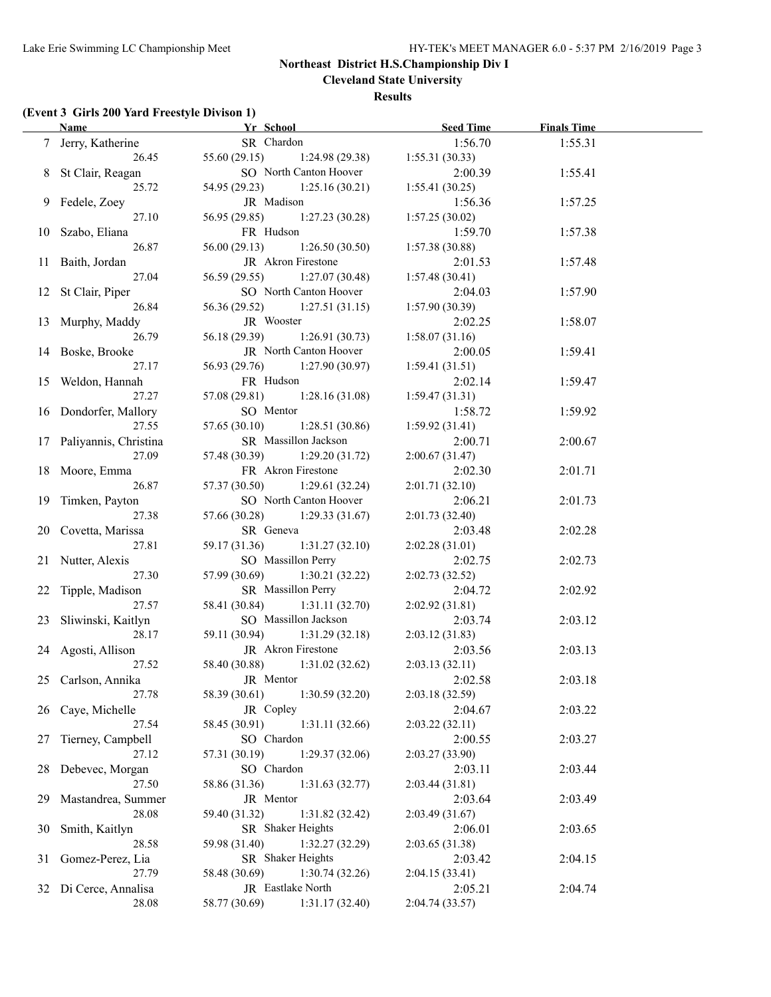**Cleveland State University**

#### **Results**

# **(Event 3 Girls 200 Yard Freestyle Divison 1)**

|         | $($ EVCHT $\sigma$ OH is 200 Taru Preestyle Divison T<br><b>Name</b> | Yr School              | <b>Seed Time</b>                  | <b>Finals Time</b> |  |
|---------|----------------------------------------------------------------------|------------------------|-----------------------------------|--------------------|--|
|         | 7 Jerry, Katherine                                                   | SR Chardon             | 1:56.70                           | 1:55.31            |  |
|         | 26.45                                                                | 55.60 (29.15)          | 1:24.98 (29.38)<br>1:55.31(30.33) |                    |  |
|         | 8 St Clair, Reagan                                                   | SO North Canton Hoover | 2:00.39                           | 1:55.41            |  |
|         | 25.72                                                                | 54.95 (29.23)          | 1:25.16(30.21)<br>1:55.41(30.25)  |                    |  |
|         | Fedele, Zoey                                                         | JR Madison             | 1:56.36                           | 1:57.25            |  |
|         | 27.10                                                                | 56.95 (29.85)          | 1:27.23(30.28)<br>1:57.25(30.02)  |                    |  |
|         | 10 Szabo, Eliana                                                     | FR Hudson              | 1:59.70                           | 1:57.38            |  |
|         | 26.87                                                                | 56.00 (29.13)          | 1:26.50(30.50)<br>1:57.38(30.88)  |                    |  |
| $\pm 1$ | Baith, Jordan                                                        | JR Akron Firestone     | 2:01.53                           | 1:57.48            |  |
|         | 27.04                                                                | 56.59 (29.55)          | 1:27.07(30.48)<br>1:57.48(30.41)  |                    |  |
|         | 12 St Clair, Piper                                                   | SO North Canton Hoover | 2:04.03                           | 1:57.90            |  |
|         | 26.84                                                                | 56.36 (29.52)          | 1:27.51(31.15)<br>1:57.90(30.39)  |                    |  |
|         | 13 Murphy, Maddy                                                     | JR Wooster             | 2:02.25                           | 1:58.07            |  |
|         | 26.79                                                                | 56.18 (29.39)          | 1:26.91(30.73)<br>1:58.07(31.16)  |                    |  |
|         | 14 Boske, Brooke                                                     | JR North Canton Hoover | 2:00.05                           | 1:59.41            |  |
|         | 27.17                                                                | 56.93 (29.76)          | 1:27.90(30.97)<br>1:59.41(31.51)  |                    |  |
|         | 15 Weldon, Hannah                                                    | FR Hudson              | 2:02.14                           | 1:59.47            |  |
|         | 27.27                                                                | 57.08 (29.81)          | 1:28.16(31.08)<br>1:59.47(31.31)  |                    |  |
|         | 16 Dondorfer, Mallory                                                | SO Mentor              | 1:58.72                           | 1:59.92            |  |
|         | 27.55                                                                | 57.65(30.10)           | 1:28.51(30.86)<br>1:59.92(31.41)  |                    |  |
|         | 17 Paliyannis, Christina                                             | SR Massillon Jackson   | 2:00.71                           | 2:00.67            |  |
|         | 27.09                                                                | 57.48 (30.39)          | 1:29.20(31.72)<br>2:00.67(31.47)  |                    |  |
|         | 18 Moore, Emma                                                       | FR Akron Firestone     | 2:02.30                           | 2:01.71            |  |
|         | 26.87                                                                | 57.37 (30.50)          | 1:29.61(32.24)<br>2:01.71(32.10)  |                    |  |
| 19      | Timken, Payton                                                       | SO North Canton Hoover | 2:06.21                           | 2:01.73            |  |
|         | 27.38                                                                | 57.66 (30.28)          | 1:29.33(31.67)<br>2:01.73(32.40)  |                    |  |
|         | 20 Covetta, Marissa                                                  | SR Geneva              | 2:03.48                           | 2:02.28            |  |
|         | 27.81                                                                | 59.17 (31.36)          | 1:31.27(32.10)<br>2:02.28(31.01)  |                    |  |
|         | 21 Nutter, Alexis                                                    | SO Massillon Perry     | 2:02.75                           | 2:02.73            |  |
|         | 27.30                                                                | 57.99 (30.69)          | 1:30.21(32.22)<br>2:02.73(32.52)  |                    |  |
|         | 22 Tipple, Madison                                                   | SR Massillon Perry     | 2:04.72                           | 2:02.92            |  |
|         | 27.57                                                                | 58.41 (30.84)          | 1:31.11(32.70)<br>2:02.92(31.81)  |                    |  |
|         | 23 Sliwinski, Kaitlyn                                                | SO Massillon Jackson   | 2:03.74                           | 2:03.12            |  |
|         | 28.17                                                                | 59.11 (30.94)          | 1:31.29(32.18)<br>2:03.12(31.83)  |                    |  |
|         | 24 Agosti, Allison                                                   | JR Akron Firestone     | 2:03.56                           | 2:03.13            |  |
|         | 27.52                                                                | 58.40 (30.88)          | 2:03.13(32.11)<br>1:31.02(32.62)  |                    |  |
|         | 25 Carlson, Annika                                                   | JR Mentor              | 2:02.58                           | 2:03.18            |  |
|         | 27.78                                                                | 58.39 (30.61)          | 1:30.59(32.20)<br>2:03.18(32.59)  |                    |  |
|         | 26 Caye, Michelle                                                    | JR Copley              | 2:04.67                           | 2:03.22            |  |
|         | 27.54                                                                | 58.45 (30.91)          | 1:31.11(32.66)<br>2:03.22(32.11)  |                    |  |
|         | Tierney, Campbell                                                    | SO Chardon             | 2:00.55                           | 2:03.27            |  |
|         | 27.12                                                                | 57.31 (30.19)          | 1:29.37(32.06)<br>2:03.27(33.90)  |                    |  |
| 28      | Debevec, Morgan                                                      | SO Chardon             | 2:03.11                           | 2:03.44            |  |
|         | 27.50                                                                | 58.86 (31.36)          | 1:31.63(32.77)<br>2:03.44(31.81)  |                    |  |
|         | Mastandrea, Summer                                                   | JR Mentor              | 2:03.64                           | 2:03.49            |  |
|         | 28.08                                                                | 59.40 (31.32)          | 1:31.82(32.42)<br>2:03.49(31.67)  |                    |  |
| 30      | Smith, Kaitlyn                                                       | SR Shaker Heights      | 2:06.01                           | 2:03.65            |  |
|         | 28.58                                                                | 59.98 (31.40)          | 1:32.27(32.29)<br>2:03.65(31.38)  |                    |  |
| 31      | Gomez-Perez, Lia                                                     | SR Shaker Heights      | 2:03.42                           | 2:04.15            |  |
|         | 27.79                                                                | 58.48 (30.69)          | 1:30.74(32.26)<br>2:04.15(33.41)  |                    |  |
|         | 32 Di Cerce, Annalisa                                                | JR Eastlake North      | 2:05.21                           | 2:04.74            |  |
|         | 28.08                                                                | 58.77 (30.69)          | 1:31.17(32.40)<br>2:04.74 (33.57) |                    |  |
|         |                                                                      |                        |                                   |                    |  |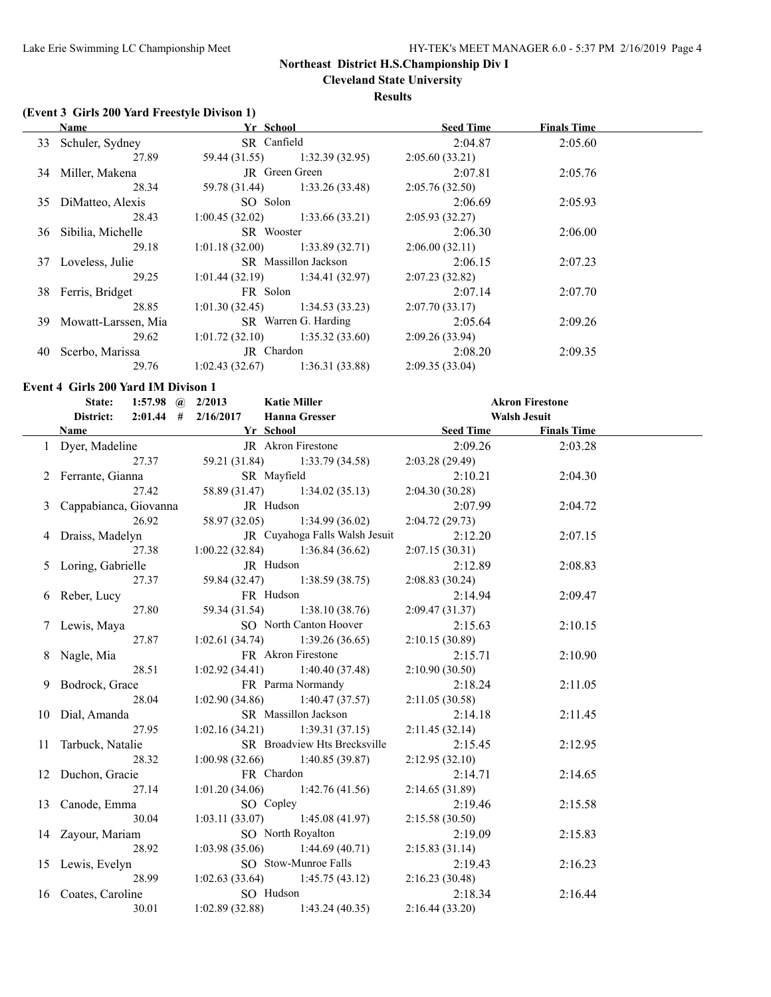**Cleveland State University**

#### **Results**

# **(Event 3 Girls 200 Yard Freestyle Divison 1)**

|     | Name                | Yr School      |                                   | <b>Seed Time</b> | <b>Finals Time</b> |  |
|-----|---------------------|----------------|-----------------------------------|------------------|--------------------|--|
| 33  | Schuler, Sydney     | SR Canfield    |                                   | 2:04.87          | 2:05.60            |  |
|     | 27.89               | 59.44 (31.55)  | 1:32.39(32.95)                    | 2:05.60(33.21)   |                    |  |
| 34  | Miller, Makena      |                | JR Green Green                    | 2:07.81          | 2:05.76            |  |
|     | 28.34               | 59.78 (31.44)  | 1:33.26(33.48)                    | 2:05.76(32.50)   |                    |  |
| 35  | DiMatteo, Alexis    | SO Solon       |                                   | 2:06.69          | 2:05.93            |  |
|     | 28.43               | 1:00.45(32.02) | 1:33.66(33.21)                    | 2:05.93(32.27)   |                    |  |
| 36  | Sibilia, Michelle   | SR Wooster     |                                   | 2:06.30          | 2:06.00            |  |
|     | 29.18               | 1:01.18(32.00) | 1:33.89(32.71)                    | 2:06.00(32.11)   |                    |  |
|     | 37 Loveless, Julie  |                | <b>SR</b> Massillon Jackson       | 2:06.15          | 2:07.23            |  |
|     | 29.25               |                | $1:01.44(32.19)$ $1:34.41(32.97)$ | 2:07.23(32.82)   |                    |  |
|     | 38 Ferris, Bridget  | FR Solon       |                                   | 2:07.14          | 2:07.70            |  |
|     | 28.85               | 1:01.30(32.45) | 1:34.53(33.23)                    | 2:07.70(33.17)   |                    |  |
| 39. | Mowatt-Larssen, Mia |                | SR Warren G. Harding              | 2:05.64          | 2:09.26            |  |
|     | 29.62               | 1:01.72(32.10) | 1:35.32(33.60)                    | 2:09.26(33.94)   |                    |  |
| 40  | Scerbo, Marissa     | JR Chardon     |                                   | 2:08.20          | 2:09.35            |  |
|     | 29.76               | 1:02.43(32.67) | 1:36.31(33.88)                    | 2:09.35(33.04)   |                    |  |

#### **Event 4 Girls 200 Yard IM Divison 1**

| State: 1:57.98 @ 2/2013                                         |                         | <b>Katie Miller</b>               |                                           | <b>Akron Firestone</b> |  |
|-----------------------------------------------------------------|-------------------------|-----------------------------------|-------------------------------------------|------------------------|--|
| District:                                                       | $2:01.44$ # $2/16/2017$ | <b>Hanna Gresser</b>              |                                           | <b>Walsh Jesuit</b>    |  |
| Name<br><u> 1980 - Johann Barn, mars ann an t-Amhain an t-A</u> | Yr School               |                                   | r Akron Fi<br>State Malsh Je<br>Seed Time | <b>Finals Time</b>     |  |
| 1 Dyer, Madeline                                                |                         | JR Akron Firestone                | 2:09.26                                   | 2:03.28                |  |
| 27.37                                                           |                         | 59.21 (31.84) 1:33.79 (34.58)     | 2:03.28(29.49)                            |                        |  |
| 2 Ferrante, Gianna                                              | SR Mayfield             |                                   | 2:10.21                                   | 2:04.30                |  |
| 27.42                                                           |                         | 58.89 (31.47) 1:34.02 (35.13)     | 2:04.30(30.28)                            |                        |  |
| 3 Cappabianca, Giovanna                                         | JR Hudson               |                                   | 2:07.99                                   | 2:04.72                |  |
| 26.92                                                           |                         | 58.97 (32.05) 1:34.99 (36.02)     | 2:04.72(29.73)                            |                        |  |
| 4 Draiss, Madelyn                                               |                         | JR Cuyahoga Falls Walsh Jesuit    | 2:12.20                                   | 2:07.15                |  |
| 27.38                                                           |                         | $1:00.22(32.84)$ $1:36.84(36.62)$ | 2:07.15(30.31)                            |                        |  |
| 5 Loring, Gabrielle                                             | JR Hudson               |                                   | 2:12.89                                   | 2:08.83                |  |
| 27.37                                                           |                         | 59.84 (32.47) 1:38.59 (38.75)     | 2:08.83(30.24)                            |                        |  |
| 6 Reber, Lucy                                                   | FR Hudson               |                                   | 2:14.94                                   | 2:09.47                |  |
| 27.80                                                           |                         | 59.34 (31.54) 1:38.10 (38.76)     | 2:09.47(31.37)                            |                        |  |
| 7 Lewis, Maya                                                   |                         | SO North Canton Hoover            | 2:15.63                                   | 2:10.15                |  |
| 27.87                                                           |                         | $1:02.61(34.74)$ $1:39.26(36.65)$ | 2:10.15(30.89)                            |                        |  |
| 8 Nagle, Mia                                                    |                         | FR Akron Firestone                | 2:15.71                                   | 2:10.90                |  |
| 28.51                                                           |                         | $1:02.92(34.41)$ $1:40.40(37.48)$ | 2:10.90(30.50)                            |                        |  |
| 9 Bodrock, Grace                                                |                         | FR Parma Normandy                 | 2:18.24                                   | 2:11.05                |  |
| 28.04                                                           |                         | $1:02.90(34.86)$ $1:40.47(37.57)$ | 2:11.05(30.58)                            |                        |  |
| 10 Dial, Amanda                                                 |                         | SR Massillon Jackson              | 2:14.18                                   | 2:11.45                |  |
| 27.95                                                           |                         | $1:02.16(34.21)$ $1:39.31(37.15)$ | 2:11.45(32.14)                            |                        |  |
| 11 Tarbuck, Natalie                                             |                         | SR Broadview Hts Brecksville      | 2:15.45                                   | 2:12.95                |  |
| 28.32                                                           |                         | $1:00.98(32.66)$ 1:40.85 (39.87)  | 2:12.95(32.10)                            |                        |  |
| 12 Duchon, Gracie                                               | FR Chardon              |                                   | 2:14.71                                   | 2:14.65                |  |
| 27.14                                                           |                         | $1:01.20(34.06)$ $1:42.76(41.56)$ | 2:14.65(31.89)                            |                        |  |
| 13 Canode, Emma                                                 | SO Copley               |                                   | 2:19.46                                   | 2:15.58                |  |
| 30.04                                                           |                         | $1:03.11(33.07)$ $1:45.08(41.97)$ | 2:15.58(30.50)                            |                        |  |
| 14 Zayour, Mariam                                               |                         | SO North Royalton                 | 2:19.09                                   | 2:15.83                |  |
| 28.92                                                           |                         | $1:03.98(35.06)$ 1:44.69 (40.71)  | 2:15.83(31.14)                            |                        |  |
| 15 Lewis, Evelyn                                                |                         | SO Stow-Munroe Falls              | 2:19.43                                   | 2:16.23                |  |
| 28.99                                                           |                         | $1:02.63(33.64)$ $1:45.75(43.12)$ | 2:16.23(30.48)                            |                        |  |
| 16 Coates, Caroline                                             | SO Hudson               |                                   | 2:18.34                                   | 2:16.44                |  |
| 30.01                                                           |                         | $1:02.89(32.88)$ $1:43.24(40.35)$ | 2:16.44(33.20)                            |                        |  |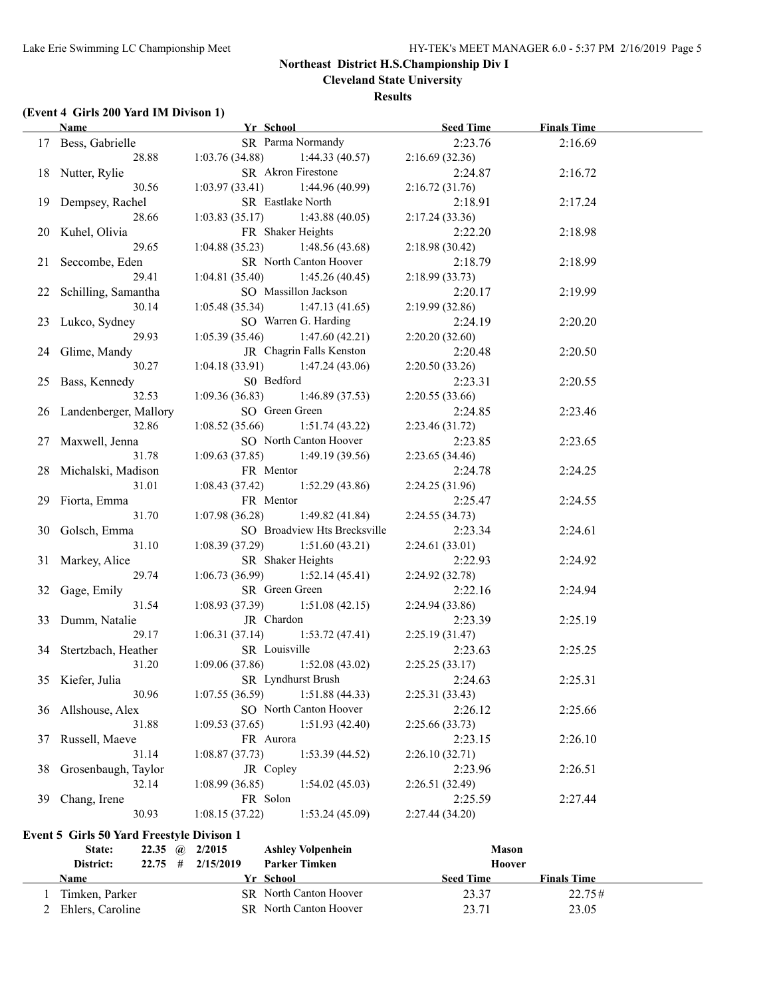**Cleveland State University**

#### **Results**

# **(Event 4 Girls 200 Yard IM Divison 1)**

|    | <b>Name</b>                                      | Yr School                         | Seed Time        | <b>Finals Time</b> |  |
|----|--------------------------------------------------|-----------------------------------|------------------|--------------------|--|
|    | 17 Bess, Gabrielle                               | SR Parma Normandy                 | 2:23.76          | 2:16.69            |  |
|    | 28.88                                            | $1:03.76(34.88)$ $1:44.33(40.57)$ | 2:16.69(32.36)   |                    |  |
|    | 18 Nutter, Rylie                                 | SR Akron Firestone                | 2:24.87          | 2:16.72            |  |
|    | 30.56                                            | $1:03.97(33.41)$ $1:44.96(40.99)$ | 2:16.72(31.76)   |                    |  |
|    | 19 Dempsey, Rachel                               | SR Eastlake North                 | 2:18.91          | 2:17.24            |  |
|    | 28.66                                            | $1:03.83(35.17)$ 1:43.88 (40.05)  | 2:17.24(33.36)   |                    |  |
|    | 20 Kuhel, Olivia                                 | FR Shaker Heights                 | 2:22.20          | 2:18.98            |  |
|    | 29.65                                            | $1:04.88(35.23)$ 1:48.56 (43.68)  | 2:18.98(30.42)   |                    |  |
|    | 21 Seccombe, Eden                                | SR North Canton Hoover            |                  |                    |  |
|    |                                                  |                                   | 2:18.79          | 2:18.99            |  |
|    | 29.41                                            | $1:04.81(35.40)$ $1:45.26(40.45)$ | 2:18.99(33.73)   |                    |  |
|    | 22 Schilling, Samantha                           | SO Massillon Jackson              | 2:20.17          | 2:19.99            |  |
|    | 30.14                                            | $1:05.48(35.34)$ $1:47.13(41.65)$ | 2:19.99(32.86)   |                    |  |
|    | 23 Lukco, Sydney                                 | SO Warren G. Harding              | 2:24.19          | 2:20.20            |  |
|    | 29.93                                            | $1:05.39(35.46)$ $1:47.60(42.21)$ | 2:20.20(32.60)   |                    |  |
|    | 24 Glime, Mandy                                  | JR Chagrin Falls Kenston          | 2:20.48          | 2:20.50            |  |
|    | 30.27                                            | $1:04.18(33.91)$ $1:47.24(43.06)$ | 2:20.50(33.26)   |                    |  |
|    | 25 Bass, Kennedy                                 | S0 Bedford                        | 2:23.31          | 2:20.55            |  |
|    | 32.53                                            | $1:09.36(36.83)$ $1:46.89(37.53)$ | 2:20.55(33.66)   |                    |  |
|    | 26 Landenberger, Mallory                         | SO Green Green                    | 2:24.85          | 2:23.46            |  |
|    | 32.86                                            | $1:08.52(35.66)$ $1:51.74(43.22)$ | 2:23.46(31.72)   |                    |  |
|    | 27 Maxwell, Jenna                                | SO North Canton Hoover            | 2:23.85          | 2:23.65            |  |
|    | 31.78                                            | $1:09.63(37.85)$ $1:49.19(39.56)$ | 2:23.65(34.46)   |                    |  |
|    | 28 Michalski, Madison                            | FR Mentor                         | 2:24.78          | 2:24.25            |  |
|    | 31.01                                            | $1:08.43(37.42)$ $1:52.29(43.86)$ | 2:24.25(31.96)   |                    |  |
|    | 29 Fiorta, Emma                                  | FR Mentor                         | 2:25.47          | 2:24.55            |  |
|    | 31.70                                            | $1:07.98(36.28)$ $1:49.82(41.84)$ | 2:24.55(34.73)   |                    |  |
|    | 30 Golsch, Emma                                  | SO Broadview Hts Brecksville      | 2:23.34          | 2:24.61            |  |
|    | 31.10                                            | $1:08.39(37.29)$ $1:51.60(43.21)$ | 2:24.61(33.01)   |                    |  |
|    |                                                  |                                   |                  |                    |  |
|    | 31 Markey, Alice                                 | SR Shaker Heights                 | 2:22.93          | 2:24.92            |  |
|    | 29.74                                            | $1:06.73(36.99)$ $1:52.14(45.41)$ | 2:24.92(32.78)   |                    |  |
|    | 32 Gage, Emily                                   | SR Green Green                    | 2:22.16          | 2:24.94            |  |
|    | 31.54                                            | $1:08.93(37.39)$ $1:51.08(42.15)$ | 2:24.94(33.86)   |                    |  |
|    | 33 Dumm, Natalie                                 | JR Chardon                        | 2:23.39          | 2:25.19            |  |
|    | 29.17                                            | $1:06.31(37.14)$ $1:53.72(47.41)$ | 2:25.19(31.47)   |                    |  |
|    | 34 Stertzbach, Heather                           | SR Louisville                     | 2:23.63          | 2:25.25            |  |
|    | 31.20                                            | $1:09.06(37.86)$ $1:52.08(43.02)$ | 2:25.25(33.17)   |                    |  |
|    | 35 Kiefer, Julia                                 | SR Lyndhurst Brush                | 2:24.63          | 2:25.31            |  |
|    | 30.96                                            | 1:07.55(36.59)<br>1:51.88(44.33)  | 2:25.31(33.43)   |                    |  |
|    | 36 Allshouse, Alex                               | SO North Canton Hoover            | 2:26.12          | 2:25.66            |  |
|    | 31.88                                            | 1:51.93(42.40)<br>1:09.53(37.65)  | 2:25.66 (33.73)  |                    |  |
| 37 | Russell, Maeve                                   | FR Aurora                         | 2:23.15          | 2:26.10            |  |
|    | 31.14                                            | 1:08.87(37.73)<br>1:53.39(44.52)  | 2:26.10(32.71)   |                    |  |
| 38 | Grosenbaugh, Taylor                              | JR Copley                         | 2:23.96          | 2:26.51            |  |
|    | 32.14                                            | 1:08.99(36.85)<br>1:54.02(45.03)  | 2:26.51 (32.49)  |                    |  |
| 39 | Chang, Irene                                     | FR Solon                          | 2:25.59          | 2:27.44            |  |
|    | 30.93                                            | 1:08.15(37.22)<br>1:53.24(45.09)  | 2:27.44 (34.20)  |                    |  |
|    |                                                  |                                   |                  |                    |  |
|    | <b>Event 5 Girls 50 Yard Freestyle Divison 1</b> |                                   |                  |                    |  |
|    | State:<br>$22.35$ (a) $2/2015$                   | <b>Ashley Volpenhein</b>          | <b>Mason</b>     |                    |  |
|    | District:<br>22.75 #                             | 2/15/2019<br><b>Parker Timken</b> | Hoover           |                    |  |
|    | <b>Name</b>                                      | Yr School                         | <b>Seed Time</b> | <b>Finals Time</b> |  |
|    | Timken, Parker                                   | SR North Canton Hoover            | 23.37            | 22.75#             |  |

2 Ehlers, Caroline SR North Canton Hoover 23.71 23.05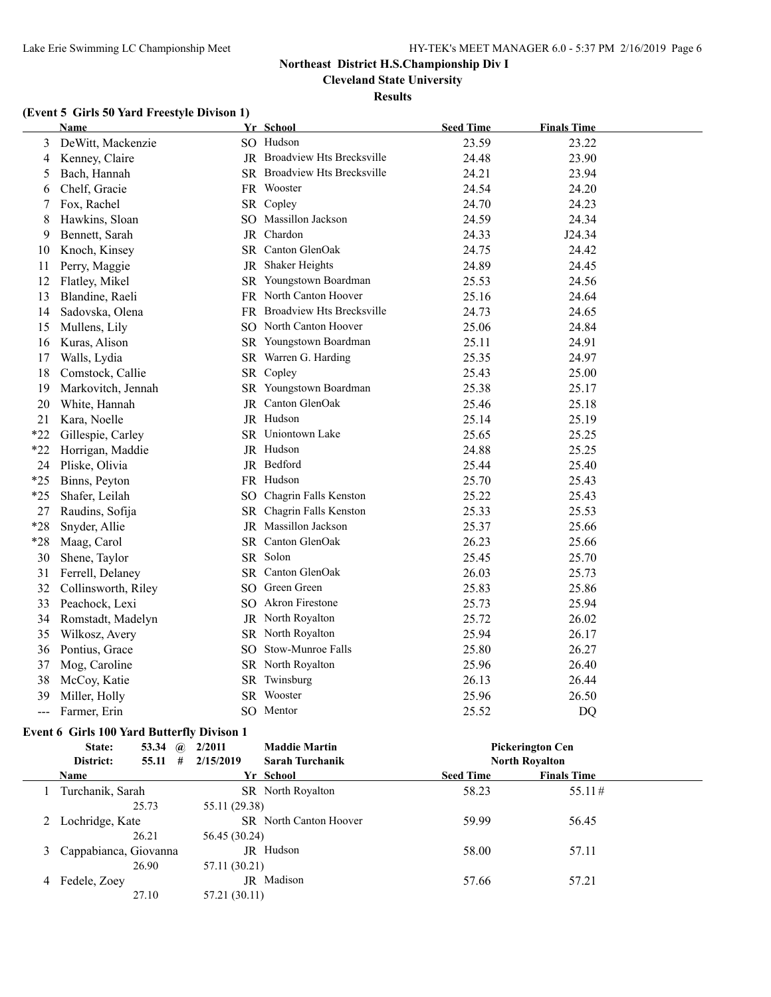**Cleveland State University**

**Results**

# **(Event 5 Girls 50 Yard Freestyle Divison 1)**

|       | <b>Name</b>                                       |               | Yr School                      | <b>Seed Time</b> | <b>Finals Time</b>                          |  |
|-------|---------------------------------------------------|---------------|--------------------------------|------------------|---------------------------------------------|--|
| 3     | DeWitt, Mackenzie                                 |               | SO Hudson                      | 23.59            | 23.22                                       |  |
| 4     | Kenney, Claire                                    |               | JR Broadview Hts Brecksville   | 24.48            | 23.90                                       |  |
| 5     | Bach, Hannah                                      |               | SR Broadview Hts Brecksville   | 24.21            | 23.94                                       |  |
| 6     | Chelf, Gracie                                     |               | FR Wooster                     | 24.54            | 24.20                                       |  |
| 7     | Fox, Rachel                                       |               | SR Copley                      | 24.70            | 24.23                                       |  |
| 8     | Hawkins, Sloan                                    | SO            | Massillon Jackson              | 24.59            | 24.34                                       |  |
| 9     | Bennett, Sarah                                    |               | JR Chardon                     | 24.33            | J24.34                                      |  |
| 10    | Knoch, Kinsey                                     |               | SR Canton GlenOak              | 24.75            | 24.42                                       |  |
| 11    | Perry, Maggie                                     |               | JR Shaker Heights              | 24.89            | 24.45                                       |  |
| 12    | Flatley, Mikel                                    |               | SR Youngstown Boardman         | 25.53            | 24.56                                       |  |
| 13    | Blandine, Raeli                                   |               | FR North Canton Hoover         | 25.16            | 24.64                                       |  |
| 14    | Sadovska, Olena                                   |               | FR Broadview Hts Brecksville   | 24.73            | 24.65                                       |  |
| 15    | Mullens, Lily                                     |               | SO North Canton Hoover         | 25.06            | 24.84                                       |  |
| 16    | Kuras, Alison                                     |               | SR Youngstown Boardman         | 25.11            | 24.91                                       |  |
| 17    | Walls, Lydia                                      |               | SR Warren G. Harding           | 25.35            | 24.97                                       |  |
| 18    | Comstock, Callie                                  |               | SR Copley                      | 25.43            | 25.00                                       |  |
| 19    | Markovitch, Jennah                                |               | SR Youngstown Boardman         | 25.38            | 25.17                                       |  |
| 20    | White, Hannah                                     |               | JR Canton GlenOak              | 25.46            | 25.18                                       |  |
| 21    | Kara, Noelle                                      |               | JR Hudson                      | 25.14            | 25.19                                       |  |
| $*22$ | Gillespie, Carley                                 |               | SR Uniontown Lake              | 25.65            | 25.25                                       |  |
| $*22$ | Horrigan, Maddie                                  |               | JR Hudson                      | 24.88            | 25.25                                       |  |
| 24    | Pliske, Olivia                                    |               | JR Bedford                     | 25.44            | 25.40                                       |  |
| $*25$ | Binns, Peyton                                     |               | FR Hudson                      | 25.70            | 25.43                                       |  |
| $*25$ | Shafer, Leilah                                    | SO            | Chagrin Falls Kenston          | 25.22            | 25.43                                       |  |
| 27    | Raudins, Sofija                                   |               | SR Chagrin Falls Kenston       | 25.33            | 25.53                                       |  |
| $*28$ | Snyder, Allie                                     |               | JR Massillon Jackson           | 25.37            | 25.66                                       |  |
| $*28$ | Maag, Carol                                       |               | SR Canton GlenOak              | 26.23            | 25.66                                       |  |
| 30    | Shene, Taylor                                     |               | SR Solon                       | 25.45            | 25.70                                       |  |
| 31    | Ferrell, Delaney                                  |               | SR Canton GlenOak              | 26.03            | 25.73                                       |  |
| 32    | Collinsworth, Riley                               | SO            | Green Green                    | 25.83            | 25.86                                       |  |
| 33    | Peachock, Lexi                                    |               | SO Akron Firestone             | 25.73            | 25.94                                       |  |
| 34    | Romstadt, Madelyn                                 |               | JR North Royalton              | 25.72            | 26.02                                       |  |
| 35    | Wilkosz, Avery                                    |               | SR North Royalton              | 25.94            | 26.17                                       |  |
| 36    | Pontius, Grace                                    | SO            | Stow-Munroe Falls              | 25.80            | 26.27                                       |  |
| 37    | Mog, Caroline                                     |               | SR North Royalton              | 25.96            | 26.40                                       |  |
| 38    | McCoy, Katie                                      |               | SR Twinsburg                   | 26.13            | 26.44                                       |  |
|       | 39 Miller, Holly                                  |               | SR Wooster                     | 25.96            | 26.50                                       |  |
|       | Farmer, Erin                                      |               | SO Mentor                      | 25.52            | DQ                                          |  |
|       |                                                   |               |                                |                  |                                             |  |
|       | <b>Event 6 Girls 100 Yard Butterfly Divison 1</b> |               |                                |                  |                                             |  |
|       | 53.34 @ 2/2011<br>State:                          |               | <b>Maddie Martin</b>           |                  | <b>Pickerington Cen</b>                     |  |
|       | District:<br>$55.11$ #                            | 2/15/2019     | Sarah Turchanik                | <b>Seed Time</b> | <b>North Royalton</b><br><b>Finals Time</b> |  |
|       | Name                                              |               | Yr School<br>SR North Royalton | 58.23            | 55.11#                                      |  |
|       | Turchanik, Sarah<br>25.73                         | 55.11 (29.38) |                                |                  |                                             |  |
|       |                                                   |               | SR North Canton Hoover         | 59.99            | 56.45                                       |  |
| 2     | Lochridge, Kate<br>26.21                          | 56.45 (30.24) |                                |                  |                                             |  |
| 3     | Cappabianca, Giovanna                             |               | JR Hudson                      | 58.00            | 57.11                                       |  |
|       | 26.90                                             | 57.11 (30.21) |                                |                  |                                             |  |
|       | 4 Fedele, Zoey                                    |               | JR Madison                     | 57.66            | 57.21                                       |  |
|       |                                                   |               |                                |                  |                                             |  |

27.10 57.21 (30.11)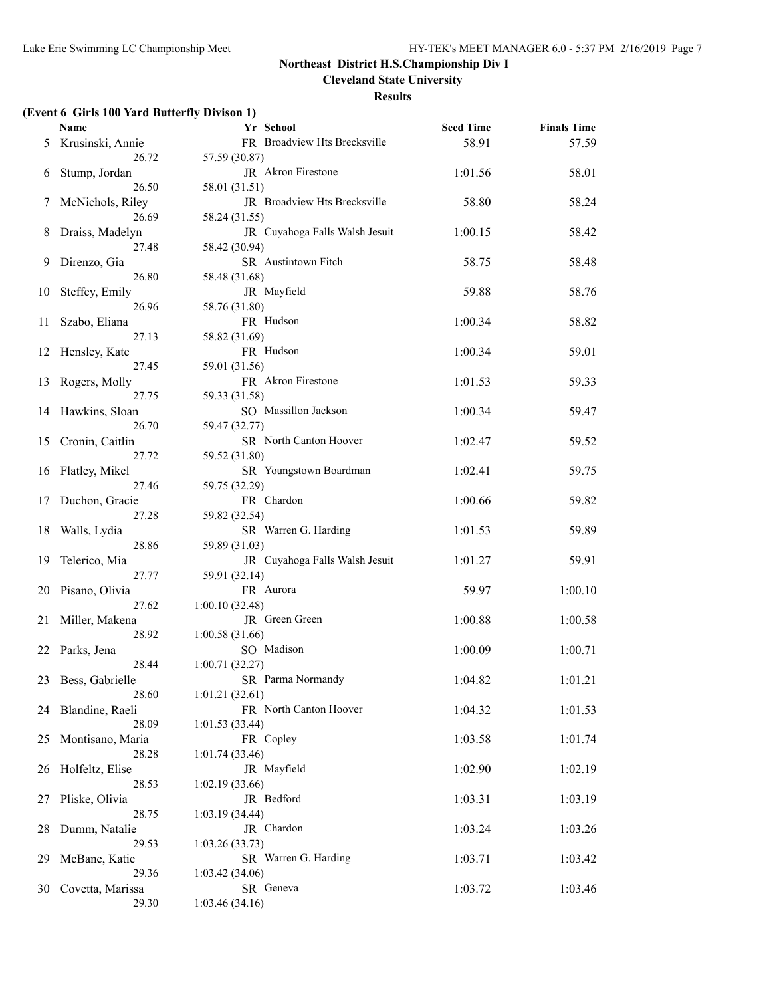**Cleveland State University**

#### **Results**

# **(Event 6 Girls 100 Yard Butterfly Divison 1)**

|    | <b>Name</b>        | Yr School                      | <b>Seed Time</b> | <b>Finals Time</b> |  |
|----|--------------------|--------------------------------|------------------|--------------------|--|
|    | 5 Krusinski, Annie | FR Broadview Hts Brecksville   | 58.91            | 57.59              |  |
|    | 26.72              | 57.59 (30.87)                  |                  |                    |  |
| 6  | Stump, Jordan      | JR Akron Firestone             | 1:01.56          | 58.01              |  |
|    | 26.50              | 58.01 (31.51)                  |                  |                    |  |
|    |                    |                                |                  |                    |  |
| 7  | McNichols, Riley   | JR Broadview Hts Brecksville   | 58.80            | 58.24              |  |
|    | 26.69              | 58.24 (31.55)                  |                  |                    |  |
| 8  | Draiss, Madelyn    | JR Cuyahoga Falls Walsh Jesuit | 1:00.15          | 58.42              |  |
|    | 27.48              | 58.42 (30.94)                  |                  |                    |  |
| 9  | Direnzo, Gia       | SR Austintown Fitch            | 58.75            | 58.48              |  |
|    | 26.80              | 58.48 (31.68)                  |                  |                    |  |
| 10 | Steffey, Emily     | JR Mayfield                    | 59.88            | 58.76              |  |
|    | 26.96              | 58.76 (31.80)                  |                  |                    |  |
| 11 | Szabo, Eliana      | FR Hudson                      | 1:00.34          | 58.82              |  |
|    | 27.13              | 58.82 (31.69)                  |                  |                    |  |
|    | 12 Hensley, Kate   | FR Hudson                      | 1:00.34          | 59.01              |  |
|    | 27.45              | 59.01 (31.56)                  |                  |                    |  |
|    |                    | FR Akron Firestone             | 1:01.53          | 59.33              |  |
| 13 | Rogers, Molly      |                                |                  |                    |  |
|    | 27.75              | 59.33 (31.58)                  |                  |                    |  |
|    | 14 Hawkins, Sloan  | SO Massillon Jackson           | 1:00.34          | 59.47              |  |
|    | 26.70              | 59.47 (32.77)                  |                  |                    |  |
|    | 15 Cronin, Caitlin | SR North Canton Hoover         | 1:02.47          | 59.52              |  |
|    | 27.72              | 59.52 (31.80)                  |                  |                    |  |
|    | 16 Flatley, Mikel  | SR Youngstown Boardman         | 1:02.41          | 59.75              |  |
|    | 27.46              | 59.75 (32.29)                  |                  |                    |  |
|    | 17 Duchon, Gracie  | FR Chardon                     | 1:00.66          | 59.82              |  |
|    | 27.28              | 59.82 (32.54)                  |                  |                    |  |
| 18 | Walls, Lydia       | SR Warren G. Harding           | 1:01.53          | 59.89              |  |
|    | 28.86              | 59.89 (31.03)                  |                  |                    |  |
| 19 | Telerico, Mia      | JR Cuyahoga Falls Walsh Jesuit | 1:01.27          | 59.91              |  |
|    | 27.77              | 59.91 (32.14)                  |                  |                    |  |
| 20 | Pisano, Olivia     | FR Aurora                      | 59.97            | 1:00.10            |  |
|    | 27.62              | 1:00.10(32.48)                 |                  |                    |  |
|    |                    | JR Green Green                 |                  |                    |  |
| 21 | Miller, Makena     |                                | 1:00.88          | 1:00.58            |  |
|    | 28.92              | 1:00.58(31.66)                 |                  |                    |  |
| 22 | Parks, Jena        | SO Madison                     | 1:00.09          | 1:00.71            |  |
|    | 28.44              | 1:00.71(32.27)                 |                  |                    |  |
|    | 23 Bess, Gabrielle | SR Parma Normandy              | 1:04.82          | 1:01.21            |  |
|    | 28.60              | 1:01.21(32.61)                 |                  |                    |  |
|    | 24 Blandine, Raeli | FR North Canton Hoover         | 1:04.32          | 1:01.53            |  |
|    | 28.09              | 1:01.53(33.44)                 |                  |                    |  |
| 25 | Montisano, Maria   | FR Copley                      | 1:03.58          | 1:01.74            |  |
|    | 28.28              | 1:01.74(33.46)                 |                  |                    |  |
| 26 | Holfeltz, Elise    | JR Mayfield                    | 1:02.90          | 1:02.19            |  |
|    | 28.53              | 1:02.19(33.66)                 |                  |                    |  |
| 27 | Pliske, Olivia     | JR Bedford                     | 1:03.31          | 1:03.19            |  |
|    | 28.75              | 1:03.19(34.44)                 |                  |                    |  |
|    |                    |                                |                  |                    |  |
| 28 | Dumm, Natalie      | JR Chardon                     | 1:03.24          | 1:03.26            |  |
|    | 29.53              | 1:03.26(33.73)                 |                  |                    |  |
| 29 | McBane, Katie      | SR Warren G. Harding           | 1:03.71          | 1:03.42            |  |
|    | 29.36              | 1:03.42(34.06)                 |                  |                    |  |
| 30 | Covetta, Marissa   | SR Geneva                      | 1:03.72          | 1:03.46            |  |
|    | 29.30              | 1:03.46(34.16)                 |                  |                    |  |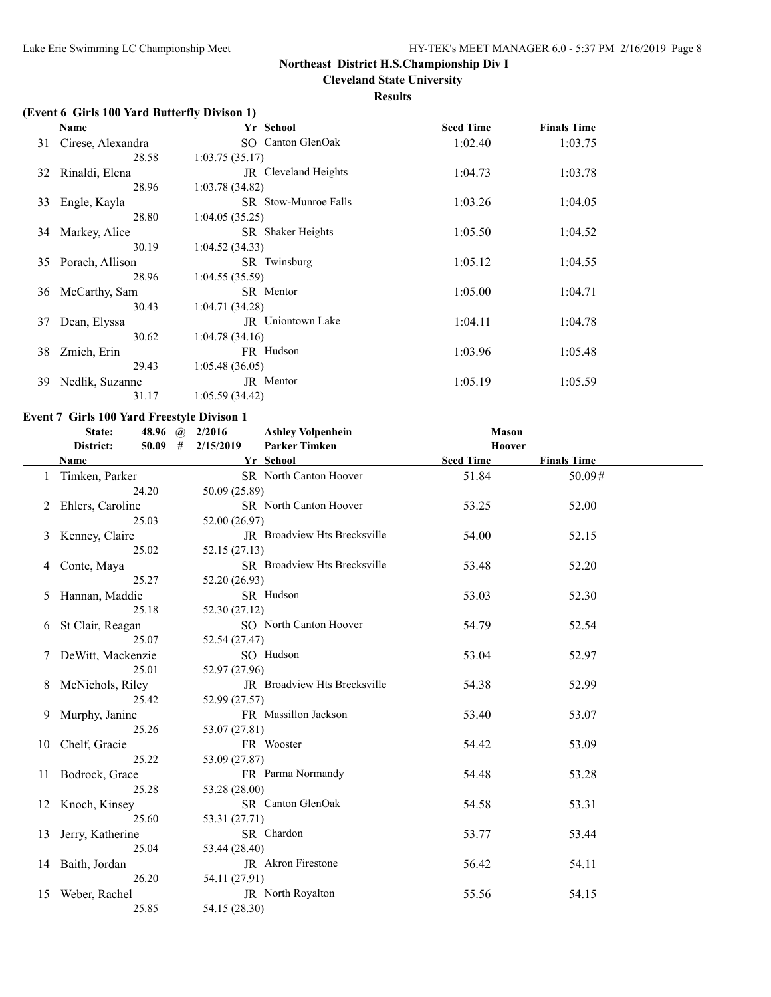**Cleveland State University**

#### **Results**

# **(Event 6 Girls 100 Yard Butterfly Divison 1)**

|    | Name              | Yr School                   | <b>Seed Time</b> | <b>Finals Time</b> |  |
|----|-------------------|-----------------------------|------------------|--------------------|--|
| 31 | Cirese, Alexandra | SO Canton GlenOak           | 1:02.40          | 1:03.75            |  |
|    | 28.58             | 1:03.75(35.17)              |                  |                    |  |
| 32 | Rinaldi, Elena    | <b>JR</b> Cleveland Heights | 1:04.73          | 1:03.78            |  |
|    | 28.96             | 1:03.78(34.82)              |                  |                    |  |
| 33 | Engle, Kayla      | <b>SR</b> Stow-Munroe Falls | 1:03.26          | 1:04.05            |  |
|    | 28.80             | 1:04.05(35.25)              |                  |                    |  |
| 34 | Markey, Alice     | SR Shaker Heights           | 1:05.50          | 1:04.52            |  |
|    | 30.19             | 1:04.52(34.33)              |                  |                    |  |
| 35 | Porach, Allison   | SR Twinsburg                | 1:05.12          | 1:04.55            |  |
|    | 28.96             | 1:04.55(35.59)              |                  |                    |  |
| 36 | McCarthy, Sam     | SR Mentor                   | 1:05.00          | 1:04.71            |  |
|    | 30.43             | 1:04.71(34.28)              |                  |                    |  |
| 37 | Dean, Elyssa      | <b>IR</b> Uniontown Lake    | 1:04.11          | 1:04.78            |  |
|    | 30.62             | 1:04.78(34.16)              |                  |                    |  |
| 38 | Zmich, Erin       | FR Hudson                   | 1:03.96          | 1:05.48            |  |
|    | 29.43             | 1:05.48(36.05)              |                  |                    |  |
| 39 | Nedlik, Suzanne   | JR Mentor                   | 1:05.19          | 1:05.59            |  |
|    | 31.17             | 1:05.59(34.42)              |                  |                    |  |

|    | <b>Event 7 Girls 100 Yard Freestyle Divison 1</b> |                |                              |                  |                    |  |
|----|---------------------------------------------------|----------------|------------------------------|------------------|--------------------|--|
|    | State:                                            | 48.96 @ 2/2016 | <b>Ashley Volpenhein</b>     | <b>Mason</b>     |                    |  |
|    | District:<br>$50.09$ #                            | 2/15/2019      | <b>Parker Timken</b>         | <b>Hoover</b>    |                    |  |
|    | <b>Name</b>                                       |                | Yr School                    | <b>Seed Time</b> | <b>Finals Time</b> |  |
|    | Timken, Parker                                    |                | SR North Canton Hoover       | 51.84            | 50.09#             |  |
|    | 24.20                                             | 50.09 (25.89)  |                              |                  |                    |  |
| 2  | Ehlers, Caroline                                  |                | SR North Canton Hoover       | 53.25            | 52.00              |  |
|    | 25.03                                             | 52.00 (26.97)  |                              |                  |                    |  |
| 3  | Kenney, Claire                                    |                | JR Broadview Hts Brecksville | 54.00            | 52.15              |  |
|    | 25.02                                             | 52.15 (27.13)  |                              |                  |                    |  |
| 4  | Conte, Maya                                       |                | SR Broadview Hts Brecksville | 53.48            | 52.20              |  |
|    | 25.27                                             | 52.20 (26.93)  |                              |                  |                    |  |
| 5  | Hannan, Maddie                                    |                | SR Hudson                    | 53.03            | 52.30              |  |
|    | 25.18                                             | 52.30 (27.12)  |                              |                  |                    |  |
| 6  | St Clair, Reagan                                  |                | SO North Canton Hoover       | 54.79            | 52.54              |  |
|    | 25.07                                             | 52.54 (27.47)  |                              |                  |                    |  |
|    | DeWitt, Mackenzie                                 |                | SO Hudson                    | 53.04            | 52.97              |  |
|    | 25.01                                             | 52.97 (27.96)  |                              |                  |                    |  |
| 8  | McNichols, Riley                                  |                | JR Broadview Hts Brecksville | 54.38            | 52.99              |  |
|    | 25.42                                             | 52.99 (27.57)  |                              |                  |                    |  |
| 9  | Murphy, Janine                                    |                | FR Massillon Jackson         | 53.40            | 53.07              |  |
|    | 25.26                                             | 53.07 (27.81)  |                              |                  |                    |  |
| 10 | Chelf, Gracie                                     |                | FR Wooster                   | 54.42            | 53.09              |  |
|    | 25.22                                             | 53.09 (27.87)  |                              |                  |                    |  |
| 11 | Bodrock, Grace                                    |                | FR Parma Normandy            | 54.48            | 53.28              |  |
|    | 25.28                                             | 53.28 (28.00)  |                              |                  |                    |  |
|    | 12 Knoch, Kinsey                                  |                | SR Canton GlenOak            | 54.58            | 53.31              |  |
|    | 25.60                                             | 53.31 (27.71)  |                              |                  |                    |  |
| 13 | Jerry, Katherine                                  |                | SR Chardon                   | 53.77            | 53.44              |  |
|    | 25.04                                             | 53.44 (28.40)  |                              |                  |                    |  |
| 14 | Baith, Jordan                                     |                | JR Akron Firestone           | 56.42            | 54.11              |  |
|    | 26.20                                             | 54.11 (27.91)  |                              |                  |                    |  |
| 15 | Weber, Rachel                                     |                | JR North Royalton            | 55.56            | 54.15              |  |
|    | 25.85                                             | 54.15 (28.30)  |                              |                  |                    |  |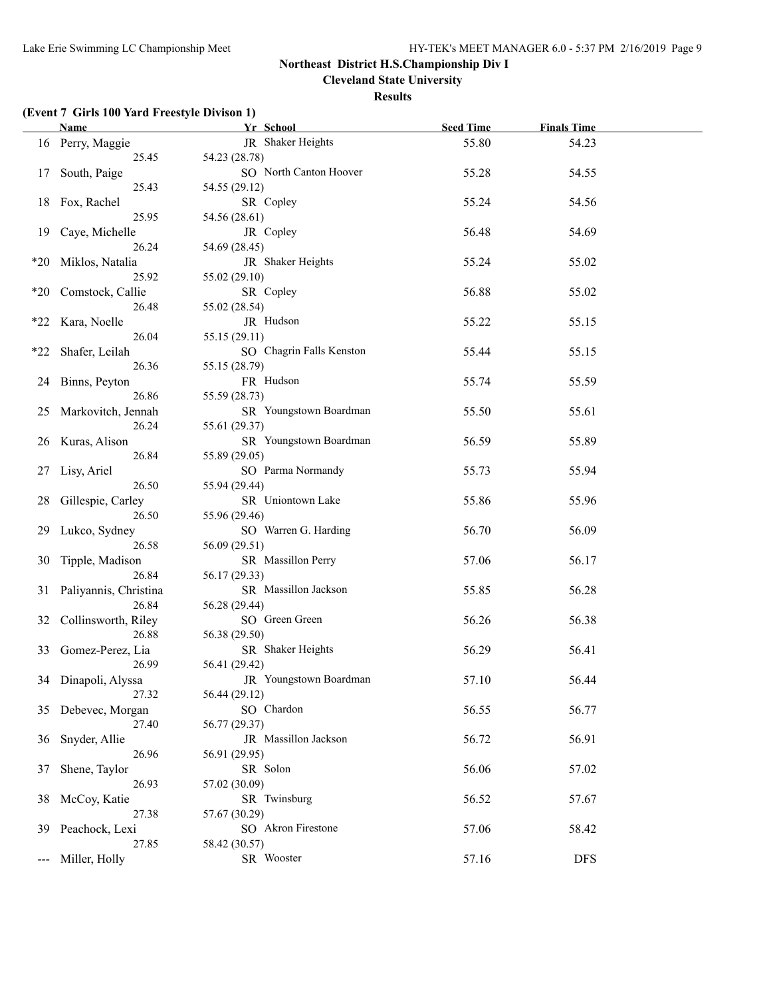**Cleveland State University**

#### **Results**

# **(Event 7 Girls 100 Yard Freestyle Divison 1)**

|                     | <b>Name</b>           | Yr School                             | <b>Seed Time</b> | <b>Finals Time</b> |  |
|---------------------|-----------------------|---------------------------------------|------------------|--------------------|--|
|                     | 16 Perry, Maggie      | JR Shaker Heights                     | 55.80            | 54.23              |  |
|                     | 25.45                 | 54.23 (28.78)                         |                  |                    |  |
| 17                  | South, Paige          | SO North Canton Hoover                | 55.28            | 54.55              |  |
|                     | 25.43                 | 54.55 (29.12)                         |                  |                    |  |
|                     | 18 Fox, Rachel        | SR Copley                             | 55.24            | 54.56              |  |
|                     | 25.95                 | 54.56 (28.61)                         |                  |                    |  |
|                     | 19 Caye, Michelle     | JR Copley                             | 56.48            | 54.69              |  |
|                     | 26.24                 | 54.69 (28.45)                         |                  |                    |  |
| $*20$               | Miklos, Natalia       | JR Shaker Heights                     | 55.24            | 55.02              |  |
|                     | 25.92                 | 55.02 (29.10)                         |                  |                    |  |
|                     |                       |                                       | 56.88            | 55.02              |  |
| $*20$               | Comstock, Callie      | SR Copley                             |                  |                    |  |
|                     | 26.48                 | 55.02 (28.54)                         |                  |                    |  |
| *22                 | Kara, Noelle          | JR Hudson                             | 55.22            | 55.15              |  |
|                     | 26.04                 | 55.15 (29.11)                         |                  |                    |  |
| *22                 | Shafer, Leilah        | SO Chagrin Falls Kenston              | 55.44            | 55.15              |  |
|                     | 26.36                 | 55.15 (28.79)                         |                  |                    |  |
| 24                  | Binns, Peyton         | FR Hudson                             | 55.74            | 55.59              |  |
|                     | 26.86                 | 55.59 (28.73)                         |                  |                    |  |
|                     | 25 Markovitch, Jennah | SR Youngstown Boardman                | 55.50            | 55.61              |  |
|                     | 26.24                 | 55.61 (29.37)                         |                  |                    |  |
|                     | 26 Kuras, Alison      | SR Youngstown Boardman                | 56.59            | 55.89              |  |
|                     | 26.84                 | 55.89 (29.05)                         |                  |                    |  |
| 27                  | Lisy, Ariel           | SO Parma Normandy                     | 55.73            | 55.94              |  |
|                     | 26.50                 | 55.94 (29.44)                         |                  |                    |  |
|                     | 28 Gillespie, Carley  | SR Uniontown Lake                     | 55.86            | 55.96              |  |
|                     | 26.50                 | 55.96 (29.46)                         |                  |                    |  |
| 29                  | Lukco, Sydney         | SO Warren G. Harding                  | 56.70            | 56.09              |  |
|                     | 26.58                 | 56.09 (29.51)                         |                  |                    |  |
| 30                  | Tipple, Madison       | SR Massillon Perry                    | 57.06            | 56.17              |  |
|                     | 26.84                 | 56.17 (29.33)                         |                  |                    |  |
| 31                  | Paliyannis, Christina | SR Massillon Jackson                  | 55.85            | 56.28              |  |
|                     | 26.84                 | 56.28 (29.44)                         |                  |                    |  |
| 32                  | Collinsworth, Riley   | SO Green Green                        | 56.26            | 56.38              |  |
|                     | 26.88                 | 56.38 (29.50)                         |                  |                    |  |
|                     | 33 Gomez-Perez, Lia   | SR Shaker Heights                     | 56.29            | 56.41              |  |
|                     | 26.99                 | 56.41 (29.42)                         |                  |                    |  |
|                     | 34 Dinapoli, Alyssa   | JR Youngstown Boardman                | 57.10            | 56.44              |  |
|                     | 27.32                 | 56.44 (29.12)                         |                  |                    |  |
|                     | Debevec, Morgan       | SO Chardon                            | 56.55            | 56.77              |  |
| 35                  |                       |                                       |                  |                    |  |
|                     | 27.40                 | 56.77 (29.37)<br>JR Massillon Jackson |                  |                    |  |
| 36                  | Snyder, Allie         |                                       | 56.72            | 56.91              |  |
|                     | 26.96                 | 56.91 (29.95)                         |                  |                    |  |
| 37                  | Shene, Taylor         | SR Solon                              | 56.06            | 57.02              |  |
|                     | 26.93                 | 57.02 (30.09)                         |                  |                    |  |
| 38                  | McCoy, Katie          | SR Twinsburg                          | 56.52            | 57.67              |  |
|                     | 27.38                 | 57.67 (30.29)                         |                  |                    |  |
| 39                  | Peachock, Lexi        | SO Akron Firestone                    | 57.06            | 58.42              |  |
|                     | 27.85                 | 58.42 (30.57)                         |                  |                    |  |
| $\qquad \qquad - -$ | Miller, Holly         | SR Wooster                            | 57.16            | <b>DFS</b>         |  |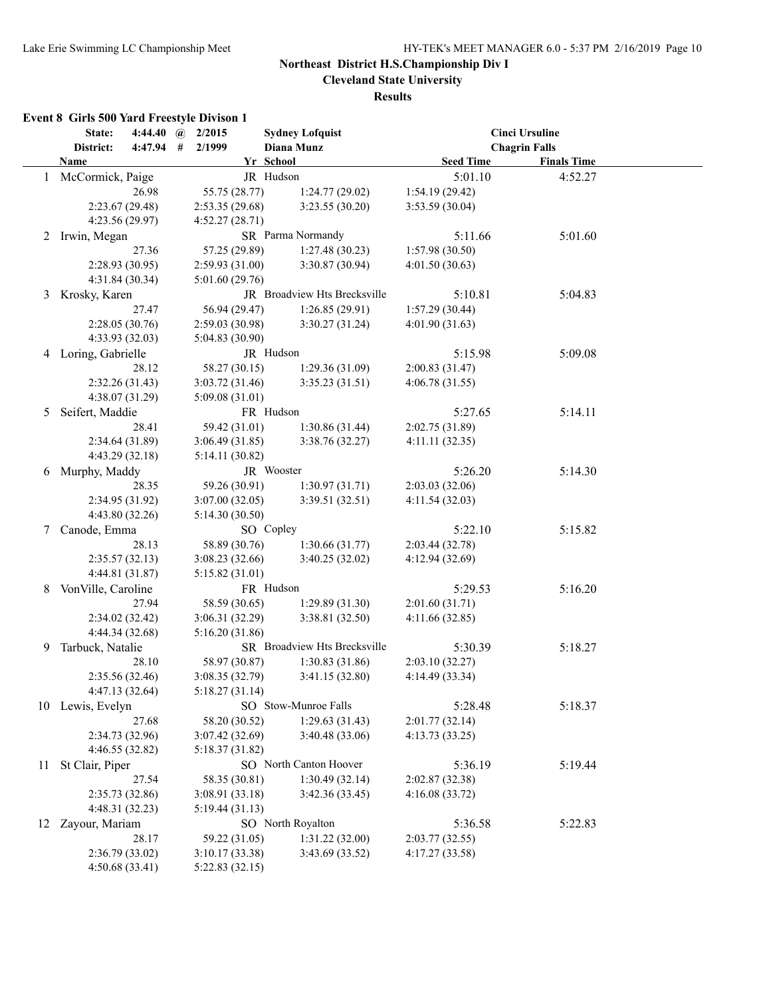**Cleveland State University**

#### **Results**

## **Event 8 Girls 500 Yard Freestyle Divison 1**

|    | State:              | 4:44.40 $\omega$ | 2/2015          | <b>Sydney Lofquist</b>       |                  | <b>Cinci Ursuline</b> |                    |  |
|----|---------------------|------------------|-----------------|------------------------------|------------------|-----------------------|--------------------|--|
|    | District:           | $4:47.94$ #      | 2/1999          | Diana Munz                   |                  | <b>Chagrin Falls</b>  |                    |  |
|    | <b>Name</b>         |                  |                 | Yr School                    | <b>Seed Time</b> |                       | <b>Finals Time</b> |  |
|    | 1 McCormick, Paige  |                  |                 | JR Hudson                    | 5:01.10          |                       | 4:52.27            |  |
|    |                     | 26.98            | 55.75 (28.77)   | 1:24.77(29.02)               | 1:54.19(29.42)   |                       |                    |  |
|    | 2:23.67 (29.48)     |                  | 2:53.35 (29.68) | 3:23.55(30.20)               | 3:53.59(30.04)   |                       |                    |  |
|    | 4:23.56 (29.97)     |                  | 4:52.27(28.71)  |                              |                  |                       |                    |  |
| 2  | Irwin, Megan        |                  |                 | SR Parma Normandy            | 5:11.66          |                       | 5:01.60            |  |
|    |                     | 27.36            | 57.25 (29.89)   | 1:27.48(30.23)               | 1:57.98(30.50)   |                       |                    |  |
|    | 2:28.93(30.95)      |                  | 2:59.93(31.00)  | 3:30.87 (30.94)              | 4:01.50(30.63)   |                       |                    |  |
|    | 4:31.84 (30.34)     |                  | 5:01.60(29.76)  |                              |                  |                       |                    |  |
| 3  | Krosky, Karen       |                  |                 | JR Broadview Hts Brecksville | 5:10.81          |                       | 5:04.83            |  |
|    |                     | 27.47            | 56.94 (29.47)   | 1:26.85(29.91)               | 1:57.29(30.44)   |                       |                    |  |
|    | 2:28.05 (30.76)     |                  | 2:59.03(30.98)  | 3:30.27(31.24)               | 4:01.90(31.63)   |                       |                    |  |
|    | 4:33.93(32.03)      |                  | 5:04.83 (30.90) |                              |                  |                       |                    |  |
|    | 4 Loring, Gabrielle |                  |                 | JR Hudson                    | 5:15.98          |                       | 5:09.08            |  |
|    |                     | 28.12            | 58.27 (30.15)   | 1:29.36(31.09)               | 2:00.83(31.47)   |                       |                    |  |
|    | 2:32.26(31.43)      |                  | 3:03.72(31.46)  | 3:35.23(31.51)               | 4:06.78(31.55)   |                       |                    |  |
|    | 4:38.07 (31.29)     |                  | 5:09.08(31.01)  |                              |                  |                       |                    |  |
| 5  | Seifert, Maddie     |                  |                 | FR Hudson                    | 5:27.65          |                       | 5:14.11            |  |
|    |                     | 28.41            | 59.42 (31.01)   | 1:30.86(31.44)               | 2:02.75 (31.89)  |                       |                    |  |
|    | 2:34.64 (31.89)     |                  | 3:06.49(31.85)  | 3:38.76(32.27)               | 4:11.11(32.35)   |                       |                    |  |
|    | 4:43.29(32.18)      |                  | 5:14.11(30.82)  |                              |                  |                       |                    |  |
| 6  | Murphy, Maddy       |                  |                 | JR Wooster                   | 5:26.20          |                       | 5:14.30            |  |
|    |                     | 28.35            | 59.26 (30.91)   | 1:30.97(31.71)               | 2:03.03(32.06)   |                       |                    |  |
|    | 2:34.95 (31.92)     |                  | 3:07.00(32.05)  | 3:39.51(32.51)               | 4:11.54(32.03)   |                       |                    |  |
|    | 4:43.80 (32.26)     |                  | 5:14.30 (30.50) |                              |                  |                       |                    |  |
| 7  | Canode, Emma        |                  |                 | SO Copley                    | 5:22.10          |                       | 5:15.82            |  |
|    |                     | 28.13            | 58.89 (30.76)   | 1:30.66(31.77)               | 2:03.44(32.78)   |                       |                    |  |
|    | 2:35.57(32.13)      |                  | 3:08.23(32.66)  | 3:40.25(32.02)               | 4:12.94(32.69)   |                       |                    |  |
|    | 4:44.81(31.87)      |                  | 5:15.82(31.01)  |                              |                  |                       |                    |  |
| 8  | VonVille, Caroline  |                  |                 | FR Hudson                    | 5:29.53          |                       | 5:16.20            |  |
|    |                     | 27.94            | 58.59 (30.65)   | 1:29.89(31.30)               | 2:01.60(31.71)   |                       |                    |  |
|    | 2:34.02 (32.42)     |                  | 3:06.31(32.29)  | 3:38.81(32.50)               | 4:11.66(32.85)   |                       |                    |  |
|    | 4:44.34 (32.68)     |                  | 5:16.20(31.86)  |                              |                  |                       |                    |  |
| 9  | Tarbuck, Natalie    |                  |                 | SR Broadview Hts Brecksville | 5:30.39          |                       | 5:18.27            |  |
|    |                     | 28.10            | 58.97 (30.87)   | 1:30.83(31.86)               | 2:03.10(32.27)   |                       |                    |  |
|    | 2:35.56(32.46)      |                  | 3:08.35(32.79)  | 3:41.15(32.80)               | 4:14.49 (33.34)  |                       |                    |  |
|    | 4:47.13(32.64)      |                  | 5:18.27(31.14)  |                              |                  |                       |                    |  |
|    | 10 Lewis, Evelyn    |                  |                 | SO Stow-Munroe Falls         | 5:28.48          |                       | 5:18.37            |  |
|    |                     | 27.68            | 58.20 (30.52)   | 1:29.63(31.43)               | 2:01.77(32.14)   |                       |                    |  |
|    | 2:34.73 (32.96)     |                  | 3:07.42(32.69)  | 3:40.48 (33.06)              | 4:13.73(33.25)   |                       |                    |  |
|    | 4:46.55 (32.82)     |                  | 5:18.37(31.82)  |                              |                  |                       |                    |  |
| 11 | St Clair, Piper     |                  |                 | SO North Canton Hoover       | 5:36.19          |                       | 5:19.44            |  |
|    |                     | 27.54            | 58.35 (30.81)   | 1:30.49(32.14)               | 2:02.87 (32.38)  |                       |                    |  |
|    | 2:35.73 (32.86)     |                  | 3:08.91(33.18)  | 3:42.36(33.45)               | 4:16.08(33.72)   |                       |                    |  |
|    | 4:48.31 (32.23)     |                  | 5:19.44(31.13)  |                              |                  |                       |                    |  |
|    | 12 Zayour, Mariam   |                  |                 | SO North Royalton            | 5:36.58          |                       | 5:22.83            |  |
|    |                     | 28.17            | 59.22 (31.05)   | 1:31.22(32.00)               | 2:03.77(32.55)   |                       |                    |  |
|    | 2:36.79 (33.02)     |                  | 3:10.17(33.38)  | 3:43.69 (33.52)              | 4:17.27(33.58)   |                       |                    |  |
|    | 4:50.68(33.41)      |                  | 5:22.83(32.15)  |                              |                  |                       |                    |  |
|    |                     |                  |                 |                              |                  |                       |                    |  |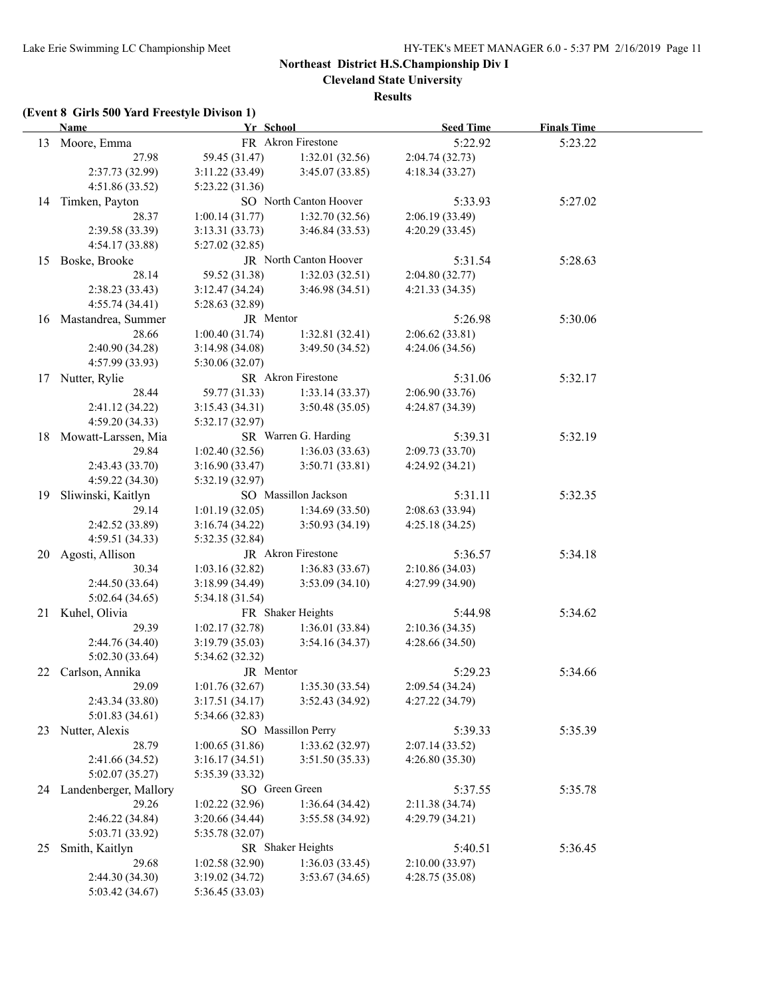**Cleveland State University**

**Results**

# **(Event 8 Girls 500 Yard Freestyle Divison 1)**

|    | <b>Name</b>              | Yr School       |                        | <b>Seed Time</b> | <b>Finals Time</b> |  |
|----|--------------------------|-----------------|------------------------|------------------|--------------------|--|
|    | 13 Moore, Emma           |                 | FR Akron Firestone     | 5:22.92          | 5:23.22            |  |
|    | 27.98                    | 59.45 (31.47)   | 1:32.01(32.56)         | 2:04.74(32.73)   |                    |  |
|    | 2:37.73 (32.99)          | 3:11.22(33.49)  | 3:45.07(33.85)         | 4:18.34(33.27)   |                    |  |
|    | 4:51.86 (33.52)          | 5:23.22(31.36)  |                        |                  |                    |  |
|    | 14 Timken, Payton        |                 | SO North Canton Hoover | 5:33.93          | 5:27.02            |  |
|    | 28.37                    | 1:00.14(31.77)  | 1:32.70(32.56)         | 2:06.19 (33.49)  |                    |  |
|    | 2:39.58 (33.39)          | 3:13.31(33.73)  | 3:46.84 (33.53)        | 4:20.29 (33.45)  |                    |  |
|    | 4:54.17 (33.88)          | 5:27.02 (32.85) |                        |                  |                    |  |
|    | 15 Boske, Brooke         |                 | JR North Canton Hoover | 5:31.54          | 5:28.63            |  |
|    | 28.14                    | 59.52 (31.38)   | 1:32.03(32.51)         | 2:04.80 (32.77)  |                    |  |
|    | 2:38.23(33.43)           | 3:12.47(34.24)  | 3:46.98(34.51)         | 4:21.33 (34.35)  |                    |  |
|    | 4:55.74(34.41)           | 5:28.63 (32.89) |                        |                  |                    |  |
|    | 16 Mastandrea, Summer    | JR Mentor       |                        | 5:26.98          | 5:30.06            |  |
|    | 28.66                    | 1:00.40(31.74)  | 1:32.81(32.41)         | 2:06.62(33.81)   |                    |  |
|    | 2:40.90(34.28)           | 3:14.98(34.08)  | 3:49.50 (34.52)        | 4:24.06 (34.56)  |                    |  |
|    | 4:57.99(33.93)           | 5:30.06(32.07)  |                        |                  |                    |  |
|    | 17 Nutter, Rylie         |                 | SR Akron Firestone     | 5:31.06          | 5:32.17            |  |
|    | 28.44                    | 59.77 (31.33)   | 1:33.14(33.37)         | 2:06.90(33.76)   |                    |  |
|    | 2:41.12 (34.22)          | 3:15.43(34.31)  | 3:50.48(35.05)         | 4:24.87 (34.39)  |                    |  |
|    | 4:59.20 (34.33)          | 5:32.17 (32.97) |                        |                  |                    |  |
|    | 18 Mowatt-Larssen, Mia   |                 | SR Warren G. Harding   | 5:39.31          | 5:32.19            |  |
|    | 29.84                    | 1:02.40(32.56)  | 1:36.03(33.63)         | 2:09.73(33.70)   |                    |  |
|    | 2:43.43(33.70)           | 3:16.90(33.47)  | 3:50.71(33.81)         | 4:24.92 (34.21)  |                    |  |
|    | 4:59.22(34.30)           | 5:32.19 (32.97) |                        |                  |                    |  |
|    | 19 Sliwinski, Kaitlyn    |                 | SO Massillon Jackson   | 5:31.11          | 5:32.35            |  |
|    | 29.14                    | 1:01.19(32.05)  | 1:34.69(33.50)         | 2:08.63 (33.94)  |                    |  |
|    | 2:42.52 (33.89)          | 3:16.74(34.22)  | 3:50.93(34.19)         | 4:25.18(34.25)   |                    |  |
|    | 4:59.51(34.33)           | 5:32.35 (32.84) |                        |                  |                    |  |
|    | 20 Agosti, Allison       |                 | JR Akron Firestone     | 5:36.57          | 5:34.18            |  |
|    | 30.34                    | 1:03.16 (32.82) | 1:36.83(33.67)         | 2:10.86(34.03)   |                    |  |
|    | 2:44.50 (33.64)          | 3:18.99(34.49)  | 3:53.09(34.10)         | 4:27.99 (34.90)  |                    |  |
|    | 5:02.64(34.65)           | 5:34.18 (31.54) |                        |                  |                    |  |
|    | 21 Kuhel, Olivia         |                 | FR Shaker Heights      | 5:44.98          | 5:34.62            |  |
|    | 29.39                    | 1:02.17(32.78)  | 1:36.01(33.84)         | 2:10.36(34.35)   |                    |  |
|    | 2:44.76(34.40)           | 3:19.79(35.03)  | 3:54.16(34.37)         | 4:28.66 (34.50)  |                    |  |
|    | 5:02.30(33.64)           | 5:34.62 (32.32) |                        |                  |                    |  |
|    | 22 Carlson, Annika       | JR Mentor       |                        | 5:29.23          | 5:34.66            |  |
|    | 29.09                    | 1:01.76(32.67)  | 1:35.30(33.54)         | 2:09.54(34.24)   |                    |  |
|    | 2:43.34 (33.80)          | 3:17.51(34.17)  | 3:52.43 (34.92)        | 4:27.22 (34.79)  |                    |  |
|    | 5:01.83(34.61)           | 5:34.66 (32.83) |                        |                  |                    |  |
| 23 | Nutter, Alexis           |                 | SO Massillon Perry     | 5:39.33          | 5:35.39            |  |
|    | 28.79                    | 1:00.65(31.86)  | 1:33.62(32.97)         | 2:07.14(33.52)   |                    |  |
|    | 2:41.66 (34.52)          | 3:16.17(34.51)  | 3:51.50(35.33)         | 4:26.80 (35.30)  |                    |  |
|    | 5:02.07 (35.27)          | 5:35.39 (33.32) |                        |                  |                    |  |
|    | 24 Landenberger, Mallory | SO Green Green  |                        | 5:37.55          | 5:35.78            |  |
|    | 29.26                    | 1:02.22(32.96)  | 1:36.64(34.42)         | 2:11.38 (34.74)  |                    |  |
|    | 2:46.22(34.84)           | 3:20.66 (34.44) | 3:55.58(34.92)         | 4:29.79 (34.21)  |                    |  |
|    | 5:03.71 (33.92)          | 5:35.78 (32.07) |                        |                  |                    |  |
| 25 | Smith, Kaitlyn           |                 | SR Shaker Heights      | 5:40.51          | 5:36.45            |  |
|    | 29.68                    | 1:02.58(32.90)  | 1:36.03(33.45)         | 2:10.00(33.97)   |                    |  |
|    | 2:44.30 (34.30)          | 3:19.02(34.72)  | 3:53.67(34.65)         | 4:28.75 (35.08)  |                    |  |
|    | 5:03.42(34.67)           | 5:36.45 (33.03) |                        |                  |                    |  |
|    |                          |                 |                        |                  |                    |  |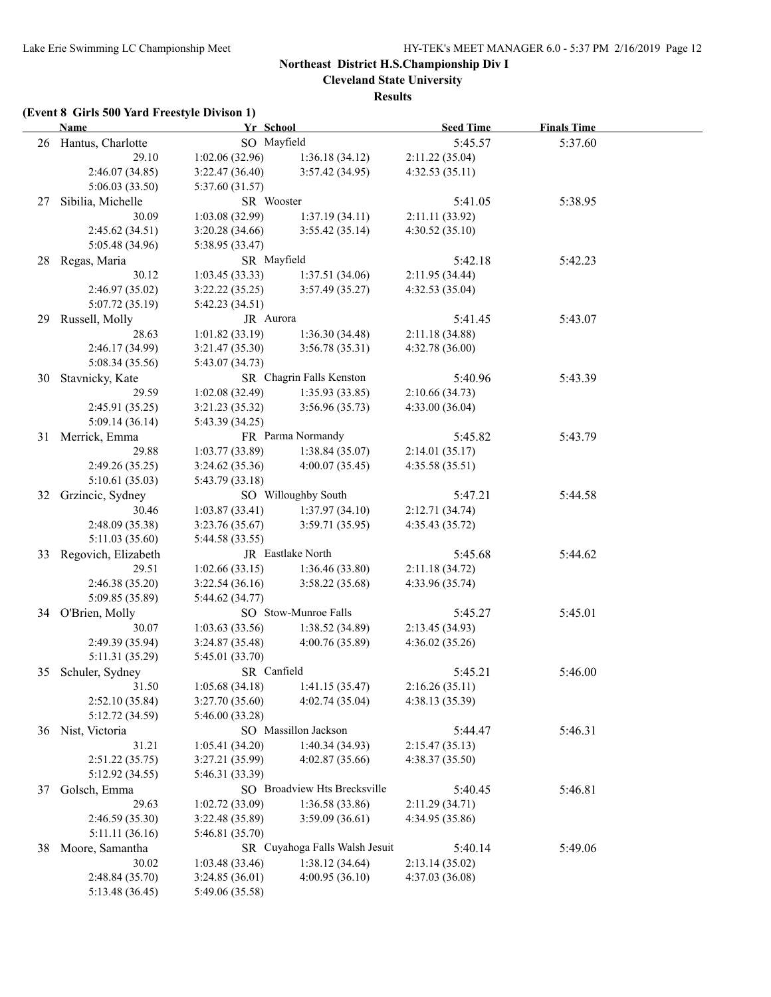**Cleveland State University**

**Results**

# **(Event 8 Girls 500 Yard Freestyle Divison 1)**

|    | <b>Name</b>            | Yr School       |                                | <b>Seed Time</b> | <b>Finals Time</b> |  |
|----|------------------------|-----------------|--------------------------------|------------------|--------------------|--|
|    | 26 Hantus, Charlotte   | SO Mayfield     |                                | 5:45.57          | 5:37.60            |  |
|    | 29.10                  | 1:02.06(32.96)  | 1:36.18(34.12)                 | 2:11.22(35.04)   |                    |  |
|    | 2:46.07 (34.85)        | 3:22.47(36.40)  | 3:57.42(34.95)                 | 4:32.53(35.11)   |                    |  |
|    | 5:06.03 (33.50)        | 5:37.60(31.57)  |                                |                  |                    |  |
| 27 | Sibilia, Michelle      | SR Wooster      |                                | 5:41.05          | 5:38.95            |  |
|    | 30.09                  | 1:03.08(32.99)  | 1:37.19(34.11)                 | 2:11.11 (33.92)  |                    |  |
|    | 2:45.62(34.51)         | 3:20.28(34.66)  | 3:55.42(35.14)                 | 4:30.52(35.10)   |                    |  |
|    | 5:05.48 (34.96)        | 5:38.95 (33.47) |                                |                  |                    |  |
|    | 28 Regas, Maria        | SR Mayfield     |                                | 5:42.18          | 5:42.23            |  |
|    | 30.12                  | 1:03.45(33.33)  | 1:37.51(34.06)                 | 2:11.95 (34.44)  |                    |  |
|    | 2:46.97 (35.02)        | 3:22.22(35.25)  | 3:57.49(35.27)                 | 4:32.53(35.04)   |                    |  |
|    | 5:07.72(35.19)         | 5:42.23(34.51)  |                                |                  |                    |  |
|    | 29 Russell, Molly      | JR Aurora       |                                | 5:41.45          | 5:43.07            |  |
|    | 28.63                  | 1:01.82(33.19)  | 1:36.30(34.48)                 | 2:11.18 (34.88)  |                    |  |
|    | 2:46.17(34.99)         | 3:21.47(35.30)  | 3:56.78(35.31)                 | 4:32.78 (36.00)  |                    |  |
|    | 5:08.34(35.56)         | 5:43.07(34.73)  |                                |                  |                    |  |
|    | 30 Stavnicky, Kate     |                 | SR Chagrin Falls Kenston       | 5:40.96          | 5:43.39            |  |
|    | 29.59                  | 1:02.08(32.49)  | 1:35.93(33.85)                 | 2:10.66(34.73)   |                    |  |
|    | 2:45.91(35.25)         | 3:21.23(35.32)  | 3:56.96(35.73)                 | 4:33.00(36.04)   |                    |  |
|    | 5:09.14(36.14)         | 5:43.39 (34.25) |                                |                  |                    |  |
|    | 31 Merrick, Emma       |                 | FR Parma Normandy              | 5:45.82          | 5:43.79            |  |
|    | 29.88                  | 1:03.77(33.89)  | 1:38.84(35.07)                 | 2:14.01(35.17)   |                    |  |
|    | 2:49.26(35.25)         | 3:24.62(35.36)  | 4:00.07(35.45)                 | 4:35.58(35.51)   |                    |  |
|    | 5:10.61(35.03)         | 5:43.79 (33.18) |                                |                  |                    |  |
|    | 32 Grzincic, Sydney    |                 | SO Willoughby South            | 5:47.21          | 5:44.58            |  |
|    | 30.46                  | 1:03.87(33.41)  | 1:37.97(34.10)                 | 2:12.71(34.74)   |                    |  |
|    | 2:48.09 (35.38)        | 3:23.76(35.67)  | 3:59.71(35.95)                 | 4:35.43 (35.72)  |                    |  |
|    | 5:11.03(35.60)         | 5:44.58 (33.55) |                                |                  |                    |  |
|    | 33 Regovich, Elizabeth |                 | JR Eastlake North              | 5:45.68          | 5:44.62            |  |
|    | 29.51                  | 1:02.66(33.15)  | 1:36.46(33.80)                 | 2:11.18(34.72)   |                    |  |
|    | 2:46.38 (35.20)        | 3:22.54(36.16)  | 3:58.22(35.68)                 | 4:33.96 (35.74)  |                    |  |
|    | 5:09.85 (35.89)        | 5:44.62 (34.77) |                                |                  |                    |  |
|    | 34 O'Brien, Molly      |                 | SO Stow-Munroe Falls           | 5:45.27          | 5:45.01            |  |
|    | 30.07                  | 1:03.63(33.56)  | 1:38.52(34.89)                 | 2:13.45(34.93)   |                    |  |
|    | 2:49.39 (35.94)        | 3:24.87(35.48)  | 4:00.76(35.89)                 | 4:36.02(35.26)   |                    |  |
|    | 5:11.31 (35.29)        | 5:45.01 (33.70) |                                |                  |                    |  |
|    | 35 Schuler, Sydney     | SR Canfield     |                                | 5:45.21          | 5:46.00            |  |
|    | 31.50                  | 1:05.68(34.18)  | 1:41.15(35.47)                 | 2:16.26(35.11)   |                    |  |
|    | 2:52.10 (35.84)        | 3:27.70(35.60)  | 4:02.74 (35.04)                | 4:38.13 (35.39)  |                    |  |
|    | 5:12.72 (34.59)        | 5:46.00 (33.28) |                                |                  |                    |  |
| 36 | Nist, Victoria         |                 | SO Massillon Jackson           | 5:44.47          | 5:46.31            |  |
|    | 31.21                  | 1:05.41(34.20)  | 1:40.34(34.93)                 | 2:15.47(35.13)   |                    |  |
|    | 2:51.22(35.75)         | 3:27.21 (35.99) | 4:02.87(35.66)                 | 4:38.37 (35.50)  |                    |  |
|    | 5:12.92 (34.55)        | 5:46.31 (33.39) |                                |                  |                    |  |
| 37 | Golsch, Emma           |                 | SO Broadview Hts Brecksville   | 5:40.45          | 5:46.81            |  |
|    | 29.63                  | 1:02.72(33.09)  | 1:36.58(33.86)                 | 2:11.29 (34.71)  |                    |  |
|    | 2:46.59 (35.30)        | 3:22.48 (35.89) | 3:59.09(36.61)                 | 4:34.95 (35.86)  |                    |  |
|    | 5:11.11(36.16)         | 5:46.81 (35.70) |                                |                  |                    |  |
| 38 | Moore, Samantha        |                 | SR Cuyahoga Falls Walsh Jesuit | 5:40.14          | 5:49.06            |  |
|    | 30.02                  | 1:03.48(33.46)  | 1:38.12(34.64)                 | 2:13.14(35.02)   |                    |  |
|    | 2:48.84(35.70)         | 3:24.85(36.01)  | 4:00.95(36.10)                 | 4:37.03 (36.08)  |                    |  |
|    | 5:13.48 (36.45)        | 5:49.06 (35.58) |                                |                  |                    |  |
|    |                        |                 |                                |                  |                    |  |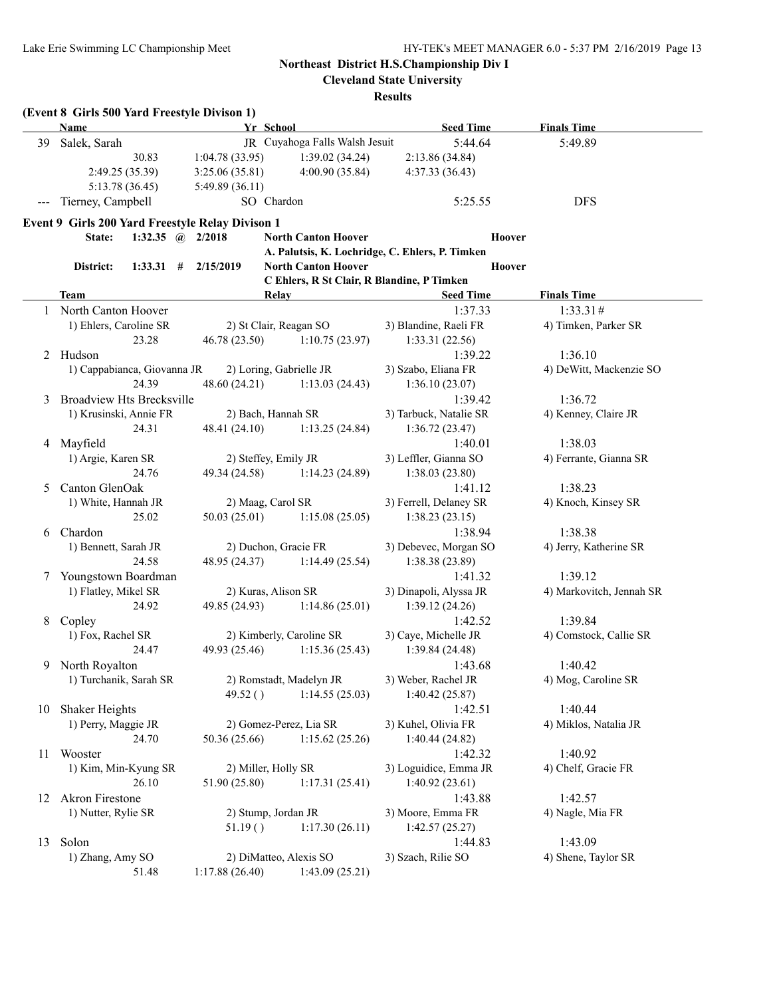**Cleveland State University**

#### **Results**

|      | (Event 8 Girls 500 Yard Freestyle Divison 1)<br>Name | Yr School                                |                                            | <b>Seed Time</b>                                | <b>Finals Time</b>       |
|------|------------------------------------------------------|------------------------------------------|--------------------------------------------|-------------------------------------------------|--------------------------|
| 39   | Salek, Sarah                                         |                                          | JR Cuyahoga Falls Walsh Jesuit             | 5:44.64                                         | 5:49.89                  |
|      | 30.83                                                | 1:04.78(33.95)                           | 1:39.02(34.24)                             | 2:13.86 (34.84)                                 |                          |
|      | 2:49.25 (35.39)                                      | 3:25.06(35.81)                           | 4:00.90(35.84)                             | 4:37.33(36.43)                                  |                          |
|      | 5:13.78(36.45)                                       | 5:49.89(36.11)                           |                                            |                                                 |                          |
| $--$ | Tierney, Campbell                                    | SO Chardon                               |                                            | 5:25.55                                         | <b>DFS</b>               |
|      | Event 9 Girls 200 Yard Freestyle Relay Divison 1     |                                          |                                            |                                                 |                          |
|      | 1:32.35 $\omega$ 2/2018<br>State:                    |                                          | <b>North Canton Hoover</b>                 | <b>Hoover</b>                                   |                          |
|      |                                                      |                                          |                                            | A. Palutsis, K. Lochridge, C. Ehlers, P. Timken |                          |
|      | District:<br>$1:33.31$ #                             | 2/15/2019                                | <b>North Canton Hoover</b>                 | Hoover                                          |                          |
|      |                                                      |                                          | C Ehlers, R St Clair, R Blandine, P Timken |                                                 |                          |
|      | <b>Team</b>                                          | Relay                                    |                                            | <b>Seed Time</b>                                | <b>Finals Time</b>       |
|      | North Canton Hoover                                  |                                          |                                            | 1:37.33                                         | 1:33.31#                 |
|      | 1) Ehlers, Caroline SR                               | 2) St Clair, Reagan SO                   |                                            | 3) Blandine, Raeli FR                           | 4) Timken, Parker SR     |
|      | 23.28                                                | 46.78 (23.50)                            | 1:10.75(23.97)                             | 1:33.31(22.56)                                  |                          |
| 2    | Hudson                                               |                                          |                                            | 1:39.22                                         | 1:36.10                  |
|      | 1) Cappabianca, Giovanna JR<br>24.39                 | 2) Loring, Gabrielle JR<br>48.60 (24.21) |                                            | 3) Szabo, Eliana FR<br>1:36.10(23.07)           | 4) DeWitt, Mackenzie SO  |
| 3    | <b>Broadview Hts Brecksville</b>                     |                                          | 1:13.03(24.43)                             | 1:39.42                                         | 1:36.72                  |
|      | 1) Krusinski, Annie FR                               | 2) Bach, Hannah SR                       |                                            | 3) Tarbuck, Natalie SR                          | 4) Kenney, Claire JR     |
|      | 24.31                                                | 48.41 (24.10)                            | 1:13.25(24.84)                             | 1:36.72(23.47)                                  |                          |
|      | 4 Mayfield                                           |                                          |                                            | 1:40.01                                         | 1:38.03                  |
|      | 1) Argie, Karen SR                                   | 2) Steffey, Emily JR                     |                                            | 3) Leffler, Gianna SO                           | 4) Ferrante, Gianna SR   |
|      | 24.76                                                | 49.34 (24.58)                            | 1:14.23(24.89)                             | 1:38.03(23.80)                                  |                          |
| 5    | Canton GlenOak                                       |                                          |                                            | 1:41.12                                         | 1:38.23                  |
|      | 1) White, Hannah JR                                  | 2) Maag, Carol SR                        |                                            | 3) Ferrell, Delaney SR                          | 4) Knoch, Kinsey SR      |
|      | 25.02                                                | 50.03(25.01)                             | 1:15.08(25.05)                             | 1:38.23(23.15)                                  |                          |
| 6    | Chardon                                              |                                          |                                            | 1:38.94                                         | 1:38.38                  |
|      | 1) Bennett, Sarah JR                                 | 2) Duchon, Gracie FR                     |                                            | 3) Debevec, Morgan SO                           | 4) Jerry, Katherine SR   |
|      | 24.58                                                | 48.95 (24.37)                            | 1:14.49(25.54)                             | 1:38.38(23.89)                                  |                          |
| 7    | Youngstown Boardman                                  |                                          |                                            | 1:41.32                                         | 1:39.12                  |
|      | 1) Flatley, Mikel SR                                 | 2) Kuras, Alison SR                      |                                            | 3) Dinapoli, Alyssa JR                          | 4) Markovitch, Jennah SR |
|      | 24.92                                                | 49.85 (24.93)                            | 1:14.86(25.01)                             | 1:39.12(24.26)                                  |                          |
| 8    | Copley                                               |                                          |                                            | 1:42.52                                         | 1:39.84                  |
|      | 1) Fox, Rachel SR                                    |                                          | 2) Kimberly, Caroline SR                   | 3) Caye, Michelle JR                            | 4) Comstock, Callie SR   |
|      | 24.47                                                | 49.93 (25.46)                            | 1:15.36(25.43)                             | 1:39.84(24.48)                                  |                          |
|      | 9 North Royalton                                     |                                          |                                            | 1:43.68                                         | 1:40.42                  |
|      | 1) Turchanik, Sarah SR                               |                                          | 2) Romstadt, Madelyn JR                    | 3) Weber, Rachel JR                             | 4) Mog, Caroline SR      |
|      |                                                      | 49.52()                                  | 1:14.55(25.03)                             | 1:40.42(25.87)                                  |                          |
| 10   | Shaker Heights                                       |                                          |                                            | 1:42.51                                         | 1:40.44                  |
|      | 1) Perry, Maggie JR                                  | 2) Gomez-Perez, Lia SR                   |                                            | 3) Kuhel, Olivia FR                             | 4) Miklos, Natalia JR    |
|      | 24.70                                                | 50.36 (25.66)                            | 1:15.62(25.26)                             | 1:40.44(24.82)                                  |                          |
| 11   | Wooster                                              |                                          |                                            | 1:42.32                                         | 1:40.92                  |
|      | 1) Kim, Min-Kyung SR                                 | 2) Miller, Holly SR                      |                                            | 3) Loguidice, Emma JR                           | 4) Chelf, Gracie FR      |
|      | 26.10                                                | 51.90 (25.80)                            | 1:17.31(25.41)                             | 1:40.92(23.61)                                  |                          |
| 12   | Akron Firestone                                      |                                          |                                            | 1:43.88                                         | 1:42.57                  |
|      | 1) Nutter, Rylie SR                                  | 2) Stump, Jordan JR                      |                                            | 3) Moore, Emma FR                               | 4) Nagle, Mia FR         |
|      |                                                      | 51.19()                                  | 1:17.30(26.11)                             | 1:42.57(25.27)                                  |                          |
| 13   | Solon<br>1) Zhang, Amy SO                            |                                          |                                            | 1:44.83                                         | 1:43.09                  |
|      |                                                      | 2) DiMatteo, Alexis SO                   |                                            | 3) Szach, Rilie SO                              | 4) Shene, Taylor SR      |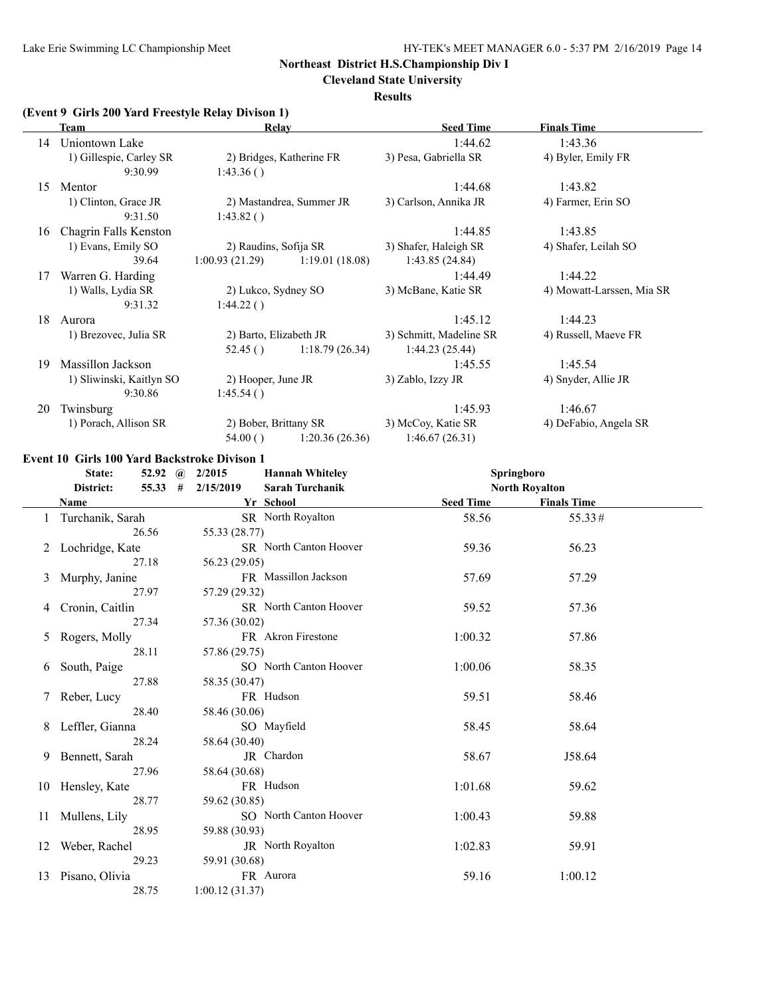**Cleveland State University**

#### **Results**

# **(Event 9 Girls 200 Yard Freestyle Relay Divison 1)**

|    | <b>Team</b>              | Relay                            | <b>Seed Time</b>        | <b>Finals Time</b>        |
|----|--------------------------|----------------------------------|-------------------------|---------------------------|
| 14 | Uniontown Lake           |                                  | 1:44.62                 | 1:43.36                   |
|    | 1) Gillespie, Carley SR  | 2) Bridges, Katherine FR         | 3) Pesa, Gabriella SR   | 4) Byler, Emily FR        |
|    | 9:30.99                  | 1:43.36()                        |                         |                           |
| 15 | Mentor                   |                                  | 1:44.68                 | 1:43.82                   |
|    | 1) Clinton, Grace JR     | 2) Mastandrea, Summer JR         | 3) Carlson, Annika JR   | 4) Farmer, Erin SO        |
|    | 9:31.50                  | 1:43.82()                        |                         |                           |
| 16 | Chagrin Falls Kenston    |                                  | 1:44.85                 | 1:43.85                   |
|    | 1) Evans, Emily SO       | 2) Raudins, Sofija SR            | 3) Shafer, Haleigh SR   | 4) Shafer, Leilah SO      |
|    | 39.64                    | 1:19.01(18.08)<br>1:00.93(21.29) | 1:43.85(24.84)          |                           |
| 17 | Warren G. Harding        |                                  | 1:44.49                 | 1:44.22                   |
|    | 1) Walls, Lydia SR       | 2) Lukco, Sydney SO              | 3) McBane, Katie SR     | 4) Mowatt-Larssen, Mia SR |
|    | 9:31.32                  | 1:44.22()                        |                         |                           |
| 18 | Aurora                   |                                  | 1:45.12                 | 1:44.23                   |
|    | 1) Brezovec, Julia SR    | 2) Barto, Elizabeth JR           | 3) Schmitt, Madeline SR | 4) Russell, Maeve FR      |
|    |                          | 1:18.79(26.34)<br>52.45()        | 1:44.23(25.44)          |                           |
| 19 | Massillon Jackson        |                                  | 1:45.55                 | 1:45.54                   |
|    | 1) Sliwinski, Kaitlyn SO | 2) Hooper, June JR               | 3) Zablo, Izzy JR       | 4) Snyder, Allie JR       |
|    | 9:30.86                  | 1:45.54()                        |                         |                           |
| 20 | Twinsburg                |                                  | 1:45.93                 | 1:46.67                   |
|    | 1) Porach, Allison SR    | 2) Bober, Brittany SR            | 3) McCoy, Katie SR      | 4) DeFabio, Angela SR     |
|    |                          | 1:20.36(26.36)<br>54.00()        | 1:46.67(26.31)          |                           |

# **Event 10 Girls 100 Yard Backstroke Divison 1**

|    | 52.92<br>State:      | 2/2015<br>$\left(\widehat{\boldsymbol{a}}\right)$ | <b>Hannah Whiteley</b> |                  | Springboro            |  |
|----|----------------------|---------------------------------------------------|------------------------|------------------|-----------------------|--|
|    | 55.33 #<br>District: | 2/15/2019                                         | <b>Sarah Turchanik</b> |                  | <b>North Royalton</b> |  |
|    | Name                 |                                                   | Yr School              | <b>Seed Time</b> | <b>Finals Time</b>    |  |
|    | Turchanik, Sarah     |                                                   | SR North Royalton      | 58.56            | 55.33#                |  |
|    | 26.56                | 55.33 (28.77)                                     |                        |                  |                       |  |
| 2  | Lochridge, Kate      |                                                   | SR North Canton Hoover | 59.36            | 56.23                 |  |
|    | 27.18                | 56.23 (29.05)                                     |                        |                  |                       |  |
| 3  | Murphy, Janine       |                                                   | FR Massillon Jackson   | 57.69            | 57.29                 |  |
|    | 27.97                | 57.29 (29.32)                                     |                        |                  |                       |  |
| 4  | Cronin, Caitlin      |                                                   | SR North Canton Hoover | 59.52            | 57.36                 |  |
|    | 27.34                | 57.36 (30.02)                                     |                        |                  |                       |  |
| 5  | Rogers, Molly        |                                                   | FR Akron Firestone     | 1:00.32          | 57.86                 |  |
|    | 28.11                | 57.86 (29.75)                                     |                        |                  |                       |  |
| 6  | South, Paige         |                                                   | SO North Canton Hoover | 1:00.06          | 58.35                 |  |
|    | 27.88                | 58.35 (30.47)                                     |                        |                  |                       |  |
|    | Reber, Lucy          |                                                   | FR Hudson              | 59.51            | 58.46                 |  |
|    | 28.40                | 58.46 (30.06)                                     |                        |                  |                       |  |
| 8  | Leffler, Gianna      |                                                   | SO Mayfield            | 58.45            | 58.64                 |  |
|    | 28.24                | 58.64 (30.40)                                     |                        |                  |                       |  |
| 9  | Bennett, Sarah       |                                                   | JR Chardon             | 58.67            | J58.64                |  |
|    | 27.96                | 58.64 (30.68)                                     |                        |                  |                       |  |
|    | 10 Hensley, Kate     |                                                   | FR Hudson              | 1:01.68          | 59.62                 |  |
|    | 28.77                | 59.62 (30.85)                                     |                        |                  |                       |  |
| 11 | Mullens, Lily        |                                                   | SO North Canton Hoover | 1:00.43          | 59.88                 |  |
|    | 28.95                | 59.88 (30.93)                                     |                        |                  |                       |  |
| 12 | Weber, Rachel        |                                                   | JR North Royalton      | 1:02.83          | 59.91                 |  |
|    | 29.23                | 59.91 (30.68)                                     |                        |                  |                       |  |
| 13 | Pisano, Olivia       |                                                   | FR Aurora              | 59.16            | 1:00.12               |  |
|    | 28.75                | 1:00.12(31.37)                                    |                        |                  |                       |  |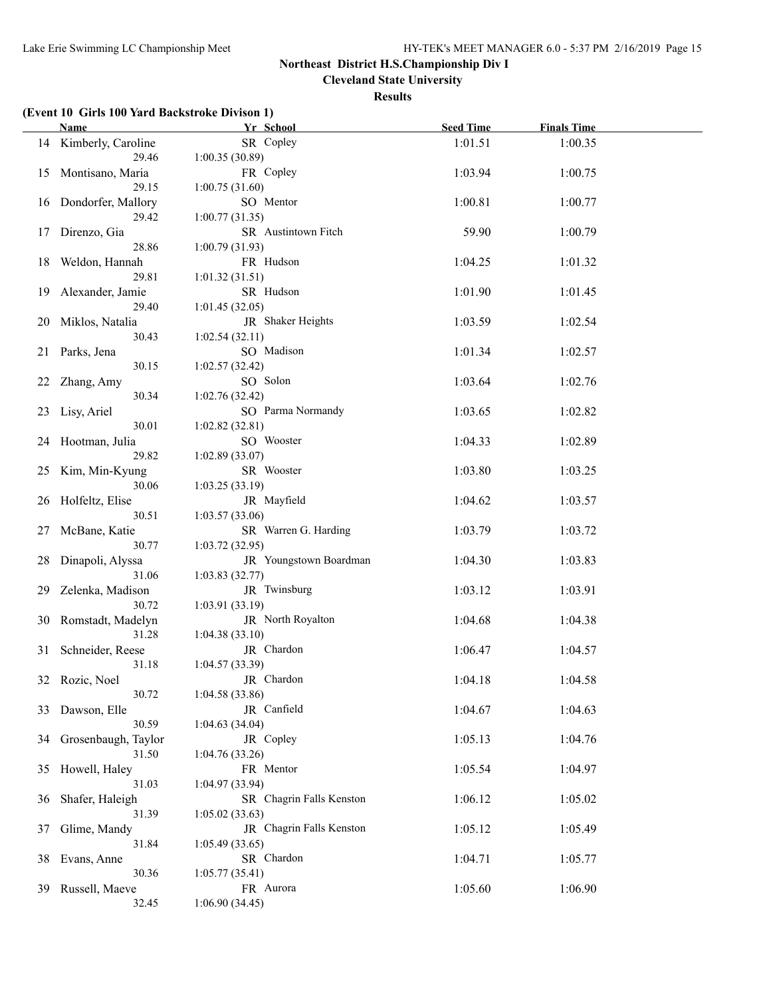**Cleveland State University**

**Results**

# **(Event 10 Girls 100 Yard Backstroke Divison 1)**

|    | <b>Name</b>           | Yr School                | <b>Seed Time</b> | <b>Finals Time</b> |  |
|----|-----------------------|--------------------------|------------------|--------------------|--|
|    | 14 Kimberly, Caroline | SR Copley                | 1:01.51          | 1:00.35            |  |
|    | 29.46                 | 1:00.35(30.89)           |                  |                    |  |
|    | 15 Montisano, Maria   | FR Copley                | 1:03.94          | 1:00.75            |  |
|    | 29.15                 | 1:00.75(31.60)           |                  |                    |  |
|    |                       | SO Mentor                |                  |                    |  |
|    | 16 Dondorfer, Mallory |                          | 1:00.81          | 1:00.77            |  |
|    | 29.42                 | 1:00.77(31.35)           |                  |                    |  |
| 17 | Direnzo, Gia          | SR Austintown Fitch      | 59.90            | 1:00.79            |  |
|    | 28.86                 | 1:00.79(31.93)           |                  |                    |  |
| 18 | Weldon, Hannah        | FR Hudson                | 1:04.25          | 1:01.32            |  |
|    | 29.81                 | 1:01.32(31.51)           |                  |                    |  |
| 19 | Alexander, Jamie      | SR Hudson                | 1:01.90          | 1:01.45            |  |
|    | 29.40                 | 1:01.45(32.05)           |                  |                    |  |
| 20 | Miklos, Natalia       | JR Shaker Heights        | 1:03.59          | 1:02.54            |  |
|    | 30.43                 | 1:02.54(32.11)           |                  |                    |  |
| 21 | Parks, Jena           | SO Madison               | 1:01.34          | 1:02.57            |  |
|    | 30.15                 | 1:02.57(32.42)           |                  |                    |  |
|    | 22 Zhang, Amy         | SO Solon                 | 1:03.64          | 1:02.76            |  |
|    | 30.34                 |                          |                  |                    |  |
|    |                       | 1:02.76(32.42)           |                  |                    |  |
| 23 | Lisy, Ariel           | SO Parma Normandy        | 1:03.65          | 1:02.82            |  |
|    | 30.01                 | 1:02.82(32.81)           |                  |                    |  |
|    | 24 Hootman, Julia     | SO Wooster               | 1:04.33          | 1:02.89            |  |
|    | 29.82                 | 1:02.89(33.07)           |                  |                    |  |
|    | 25 Kim, Min-Kyung     | SR Wooster               | 1:03.80          | 1:03.25            |  |
|    | 30.06                 | 1:03.25(33.19)           |                  |                    |  |
|    | 26 Holfeltz, Elise    | JR Mayfield              | 1:04.62          | 1:03.57            |  |
|    | 30.51                 | 1:03.57(33.06)           |                  |                    |  |
| 27 | McBane, Katie         | SR Warren G. Harding     | 1:03.79          | 1:03.72            |  |
|    | 30.77                 | 1:03.72(32.95)           |                  |                    |  |
| 28 | Dinapoli, Alyssa      | JR Youngstown Boardman   | 1:04.30          | 1:03.83            |  |
|    | 31.06                 | 1:03.83(32.77)           |                  |                    |  |
| 29 | Zelenka, Madison      | JR Twinsburg             | 1:03.12          | 1:03.91            |  |
|    |                       |                          |                  |                    |  |
|    | 30.72                 | 1:03.91(33.19)           |                  |                    |  |
|    | 30 Romstadt, Madelyn  | JR North Royalton        | 1:04.68          | 1:04.38            |  |
|    | 31.28                 | 1:04.38(33.10)           |                  |                    |  |
| 31 | Schneider, Reese      | JR Chardon               | 1:06.47          | 1:04.57            |  |
|    | 31.18                 | 1:04.57(33.39)           |                  |                    |  |
|    | 32 Rozic, Noel        | JR Chardon               | 1:04.18          | 1:04.58            |  |
|    | 30.72                 | 1:04.58(33.86)           |                  |                    |  |
|    | 33 Dawson, Elle       | JR Canfield              | 1:04.67          | 1:04.63            |  |
|    | 30.59                 | 1:04.63(34.04)           |                  |                    |  |
| 34 | Grosenbaugh, Taylor   | JR Copley                | 1:05.13          | 1:04.76            |  |
|    | 31.50                 | 1:04.76(33.26)           |                  |                    |  |
| 35 | Howell, Haley         | FR Mentor                | 1:05.54          | 1:04.97            |  |
|    | 31.03                 | 1:04.97 (33.94)          |                  |                    |  |
|    |                       | SR Chagrin Falls Kenston |                  |                    |  |
| 36 | Shafer, Haleigh       |                          | 1:06.12          | 1:05.02            |  |
|    | 31.39                 | 1:05.02(33.63)           |                  |                    |  |
| 37 | Glime, Mandy          | JR Chagrin Falls Kenston | 1:05.12          | 1:05.49            |  |
|    | 31.84                 | 1:05.49(33.65)           |                  |                    |  |
| 38 | Evans, Anne           | SR Chardon               | 1:04.71          | 1:05.77            |  |
|    | 30.36                 | 1:05.77(35.41)           |                  |                    |  |
| 39 | Russell, Maeve        | FR Aurora                | 1:05.60          | 1:06.90            |  |
|    | 32.45                 | 1:06.90(34.45)           |                  |                    |  |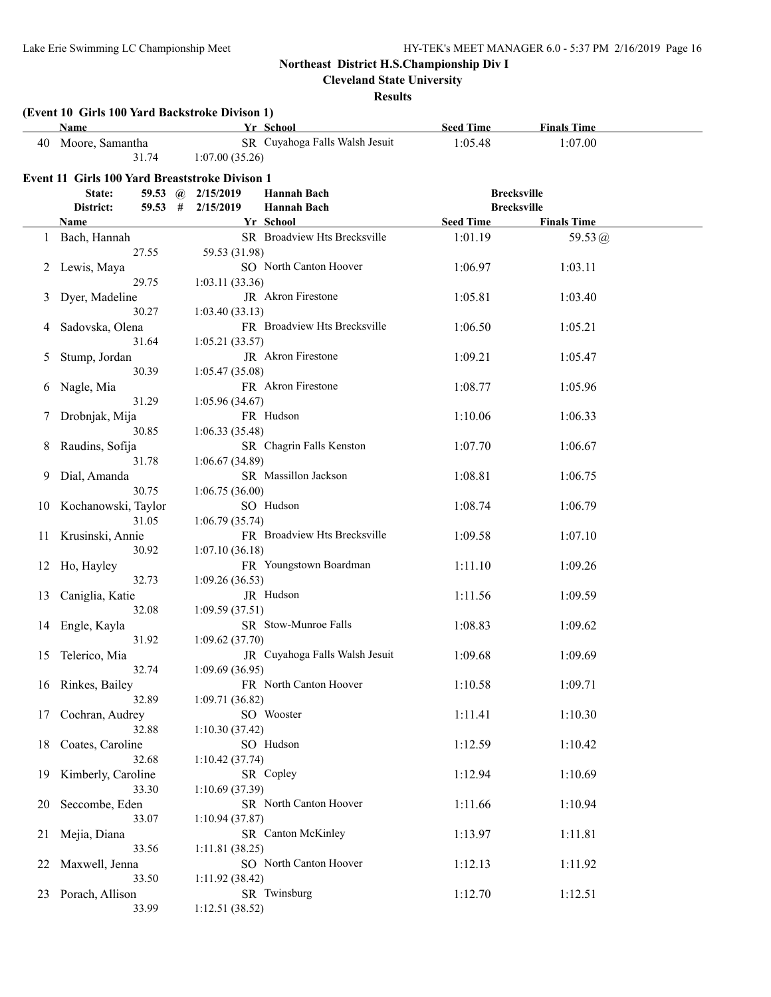**Cleveland State University**

**Results**

|    | (Event 10 Girls 100 Yard Backstroke Divison 1)<br>Name |                             | Yr School                      | <b>Seed Time</b> | <b>Finals Time</b> |  |
|----|--------------------------------------------------------|-----------------------------|--------------------------------|------------------|--------------------|--|
|    | 40 Moore, Samantha                                     |                             | SR Cuyahoga Falls Walsh Jesuit | 1:05.48          | 1:07.00            |  |
|    | 31.74                                                  | 1:07.00(35.26)              |                                |                  |                    |  |
|    | <b>Event 11 Girls 100 Yard Breaststroke Divison 1</b>  |                             |                                |                  |                    |  |
|    | State:                                                 | 59.53 $\omega$<br>2/15/2019 | <b>Hannah Bach</b>             |                  | <b>Brecksville</b> |  |
|    | District:                                              | 2/15/2019<br>$59.53$ #      | Hannah Bach                    |                  | <b>Brecksville</b> |  |
|    | Name                                                   |                             | Yr School                      | <b>Seed Time</b> | <b>Finals Time</b> |  |
|    | Bach, Hannah                                           |                             | SR Broadview Hts Brecksville   | 1:01.19          | 59.53 $(a)$        |  |
|    | 27.55                                                  | 59.53 (31.98)               |                                |                  |                    |  |
| 2  | Lewis, Maya                                            |                             | SO North Canton Hoover         | 1:06.97          | 1:03.11            |  |
|    | 29.75                                                  | 1:03.11(33.36)              |                                |                  |                    |  |
| 3  | Dyer, Madeline                                         |                             | JR Akron Firestone             | 1:05.81          | 1:03.40            |  |
|    | 30.27                                                  | 1:03.40(33.13)              |                                |                  |                    |  |
| 4  | Sadovska, Olena                                        |                             | FR Broadview Hts Brecksville   | 1:06.50          | 1:05.21            |  |
|    | 31.64                                                  | 1:05.21(33.57)              |                                |                  |                    |  |
| 5  | Stump, Jordan                                          |                             | JR Akron Firestone             | 1:09.21          | 1:05.47            |  |
|    | 30.39                                                  | 1:05.47(35.08)              |                                |                  |                    |  |
| 6  | Nagle, Mia                                             |                             | FR Akron Firestone             | 1:08.77          | 1:05.96            |  |
|    | 31.29                                                  | 1:05.96(34.67)              |                                |                  |                    |  |
| 7  | Drobnjak, Mija                                         |                             | FR Hudson                      | 1:10.06          | 1:06.33            |  |
|    | 30.85                                                  | 1:06.33(35.48)              |                                |                  |                    |  |
| 8  | Raudins, Sofija                                        |                             | SR Chagrin Falls Kenston       | 1:07.70          | 1:06.67            |  |
|    | 31.78                                                  | 1:06.67(34.89)              |                                |                  |                    |  |
| 9  | Dial, Amanda                                           |                             | SR Massillon Jackson           | 1:08.81          | 1:06.75            |  |
|    | 30.75                                                  | 1:06.75(36.00)              |                                |                  |                    |  |
| 10 | Kochanowski, Taylor                                    |                             | SO Hudson                      | 1:08.74          | 1:06.79            |  |
|    | 31.05                                                  | 1:06.79(35.74)              |                                |                  |                    |  |
| 11 | Krusinski, Annie                                       |                             | FR Broadview Hts Brecksville   | 1:09.58          | 1:07.10            |  |
|    | 30.92                                                  | 1:07.10(36.18)              |                                |                  |                    |  |
| 12 | Ho, Hayley                                             |                             | FR Youngstown Boardman         | 1:11.10          | 1:09.26            |  |
|    | 32.73                                                  | 1:09.26(36.53)              |                                |                  |                    |  |
| 13 | Caniglia, Katie                                        |                             | JR Hudson                      | 1:11.56          | 1:09.59            |  |
|    | 32.08                                                  | 1:09.59(37.51)              |                                |                  |                    |  |
| 14 | Engle, Kayla                                           |                             | SR Stow-Munroe Falls           | 1:08.83          | 1:09.62            |  |
|    | 31.92                                                  | 1:09.62(37.70)              |                                |                  |                    |  |
| 15 | Telerico, Mia                                          |                             | JR Cuyahoga Falls Walsh Jesuit | 1:09.68          | 1:09.69            |  |
|    | 32.74                                                  | 1:09.69(36.95)              |                                |                  |                    |  |
|    | 16 Rinkes, Bailey                                      |                             | FR North Canton Hoover         | 1:10.58          | 1:09.71            |  |
|    | 32.89                                                  | 1:09.71(36.82)              |                                |                  |                    |  |
| 17 | Cochran, Audrey                                        |                             | SO Wooster                     | 1:11.41          | 1:10.30            |  |
|    | 32.88                                                  | 1:10.30(37.42)              |                                |                  |                    |  |
| 18 | Coates, Caroline                                       |                             | SO Hudson                      | 1:12.59          | 1:10.42            |  |
|    | 32.68                                                  | 1:10.42(37.74)              |                                |                  |                    |  |
| 19 | Kimberly, Caroline                                     |                             | SR Copley                      | 1:12.94          | 1:10.69            |  |
|    | 33.30                                                  | 1:10.69(37.39)              |                                |                  |                    |  |
| 20 | Seccombe, Eden                                         |                             | SR North Canton Hoover         | 1:11.66          | 1:10.94            |  |
|    | 33.07                                                  | 1:10.94(37.87)              |                                |                  |                    |  |
| 21 | Mejia, Diana                                           |                             | SR Canton McKinley             | 1:13.97          | 1:11.81            |  |
|    | 33.56                                                  | 1:11.81(38.25)              |                                |                  |                    |  |
| 22 | Maxwell, Jenna                                         |                             | SO North Canton Hoover         | 1:12.13          | 1:11.92            |  |
|    | 33.50                                                  | 1:11.92(38.42)              |                                |                  |                    |  |
| 23 | Porach, Allison                                        |                             | SR Twinsburg                   | 1:12.70          | 1:12.51            |  |
|    | 33.99                                                  | 1:12.51(38.52)              |                                |                  |                    |  |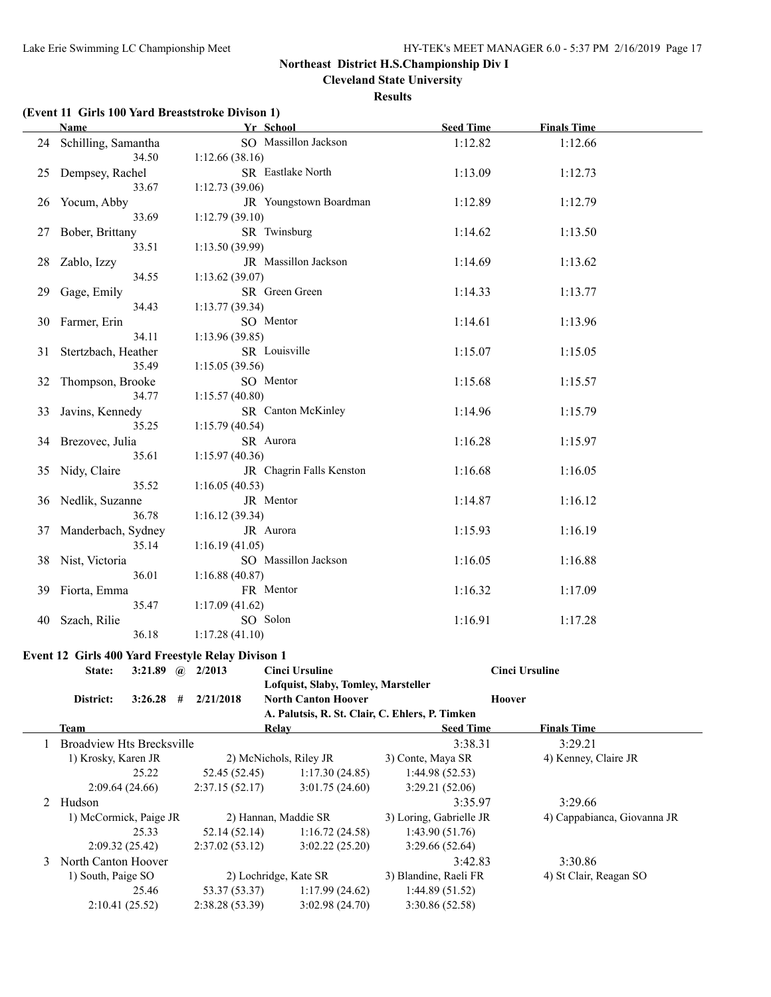**Cleveland State University**

#### **Results**

# **(Event 11 Girls 100 Yard Breaststroke Divison 1)**

|    | <b>Name</b>                                       | Yr School               |                                                 | <b>Seed Time</b>        |         | <b>Finals Time</b>          |  |
|----|---------------------------------------------------|-------------------------|-------------------------------------------------|-------------------------|---------|-----------------------------|--|
|    | 24 Schilling, Samantha                            |                         | SO Massillon Jackson                            |                         | 1:12.82 | 1:12.66                     |  |
|    | 34.50                                             | 1:12.66(38.16)          |                                                 |                         |         |                             |  |
|    | 25 Dempsey, Rachel                                |                         | SR Eastlake North                               |                         | 1:13.09 | 1:12.73                     |  |
|    | 33.67                                             | 1:12.73(39.06)          |                                                 |                         |         |                             |  |
| 26 | Yocum, Abby                                       |                         | JR Youngstown Boardman                          |                         | 1:12.89 | 1:12.79                     |  |
|    | 33.69                                             | 1:12.79(39.10)          |                                                 |                         |         |                             |  |
| 27 | Bober, Brittany                                   | SR Twinsburg            |                                                 |                         | 1:14.62 | 1:13.50                     |  |
|    | 33.51                                             | 1:13.50(39.99)          |                                                 |                         |         |                             |  |
| 28 | Zablo, Izzy                                       |                         | JR Massillon Jackson                            |                         | 1:14.69 | 1:13.62                     |  |
|    | 34.55                                             | 1:13.62(39.07)          |                                                 |                         |         |                             |  |
| 29 | Gage, Emily                                       | SR Green Green          |                                                 |                         | 1:14.33 | 1:13.77                     |  |
|    | 34.43                                             | 1:13.77(39.34)          |                                                 |                         |         |                             |  |
| 30 | Farmer, Erin                                      | SO Mentor               |                                                 |                         | 1:14.61 | 1:13.96                     |  |
|    | 34.11                                             | 1:13.96(39.85)          |                                                 |                         |         |                             |  |
| 31 | Stertzbach, Heather                               | SR Louisville           |                                                 |                         | 1:15.07 | 1:15.05                     |  |
|    | 35.49                                             | 1:15.05(39.56)          |                                                 |                         |         |                             |  |
| 32 | Thompson, Brooke                                  | SO Mentor               |                                                 |                         | 1:15.68 | 1:15.57                     |  |
|    | 34.77                                             | 1:15.57(40.80)          |                                                 |                         |         |                             |  |
|    | Javins, Kennedy                                   |                         | SR Canton McKinley                              |                         | 1:14.96 | 1:15.79                     |  |
| 33 | 35.25                                             | 1:15.79(40.54)          |                                                 |                         |         |                             |  |
|    |                                                   |                         |                                                 |                         |         |                             |  |
| 34 | Brezovec, Julia                                   | SR Aurora               |                                                 |                         | 1:16.28 | 1:15.97                     |  |
|    | 35.61                                             | 1:15.97(40.36)          |                                                 |                         |         |                             |  |
|    | 35 Nidy, Claire                                   |                         | JR Chagrin Falls Kenston                        |                         | 1:16.68 | 1:16.05                     |  |
|    | 35.52                                             | 1:16.05(40.53)          |                                                 |                         |         |                             |  |
|    | 36 Nedlik, Suzanne                                | JR Mentor               |                                                 |                         | 1:14.87 | 1:16.12                     |  |
|    | 36.78                                             | 1:16.12(39.34)          |                                                 |                         |         |                             |  |
|    | 37 Manderbach, Sydney                             | JR Aurora               |                                                 |                         | 1:15.93 | 1:16.19                     |  |
|    | 35.14                                             | 1:16.19(41.05)          |                                                 |                         |         |                             |  |
|    | 38 Nist, Victoria                                 |                         | SO Massillon Jackson                            |                         | 1:16.05 | 1:16.88                     |  |
|    | 36.01                                             | 1:16.88(40.87)          |                                                 |                         |         |                             |  |
|    | 39 Fiorta, Emma                                   | FR Mentor               |                                                 |                         | 1:16.32 | 1:17.09                     |  |
|    | 35.47                                             | 1:17.09(41.62)          |                                                 |                         |         |                             |  |
|    | 40 Szach, Rilie                                   | SO Solon                |                                                 |                         | 1:16.91 | 1:17.28                     |  |
|    | 36.18                                             | 1:17.28(41.10)          |                                                 |                         |         |                             |  |
|    | Event 12 Girls 400 Yard Freestyle Relay Divison 1 |                         |                                                 |                         |         |                             |  |
|    | 3:21.89 @ $2/2013$<br>State:                      |                         | <b>Cinci Ursuline</b>                           |                         |         | <b>Cinci Ursuline</b>       |  |
|    |                                                   |                         | Lofquist, Slaby, Tomley, Marsteller             |                         |         |                             |  |
|    | District:                                         | $3:26.28$ # $2/21/2018$ | <b>North Canton Hoover</b>                      |                         | Hoover  |                             |  |
|    |                                                   |                         | A. Palutsis, R. St. Clair, C. Ehlers, P. Timken |                         |         |                             |  |
|    | <b>Team</b>                                       | Relay                   |                                                 | <b>Seed Time</b>        |         | <b>Finals Time</b>          |  |
|    | <b>Broadview Hts Brecksville</b>                  |                         |                                                 |                         | 3:38.31 | 3:29.21                     |  |
|    | 1) Krosky, Karen JR                               | 2) McNichols, Riley JR  |                                                 | 3) Conte, Maya SR       |         | 4) Kenney, Claire JR        |  |
|    | 25.22                                             | 52.45 (52.45)           | 1:17.30(24.85)                                  | 1:44.98(52.53)          |         |                             |  |
|    | 2:09.64 (24.66)                                   | 2:37.15(52.17)          | 3:01.75(24.60)                                  | 3:29.21 (52.06)         |         |                             |  |
|    | 2 Hudson                                          |                         |                                                 |                         | 3:35.97 | 3:29.66                     |  |
|    | 1) McCormick, Paige JR                            | 2) Hannan, Maddie SR    |                                                 | 3) Loring, Gabrielle JR |         | 4) Cappabianca, Giovanna JR |  |
|    | 25.33                                             | 52.14 (52.14)           | 1:16.72(24.58)                                  | 1:43.90(51.76)          |         |                             |  |
|    | 2:09.32 (25.42)                                   | 2:37.02(53.12)          | 3:02.22(25.20)                                  | 3:29.66(52.64)          |         |                             |  |
| 3  | North Canton Hoover                               |                         |                                                 |                         | 3:42.83 | 3:30.86                     |  |
|    | 1) South, Paige SO                                | 2) Lochridge, Kate SR   |                                                 | 3) Blandine, Raeli FR   |         | 4) St Clair, Reagan SO      |  |
|    | 25.46                                             | 53.37 (53.37)           | 1:17.99(24.62)                                  | 1:44.89 (51.52)         |         |                             |  |
|    | 2:10.41(25.52)                                    | 2:38.28 (53.39)         | 3:02.98 (24.70)                                 | 3:30.86 (52.58)         |         |                             |  |
|    |                                                   |                         |                                                 |                         |         |                             |  |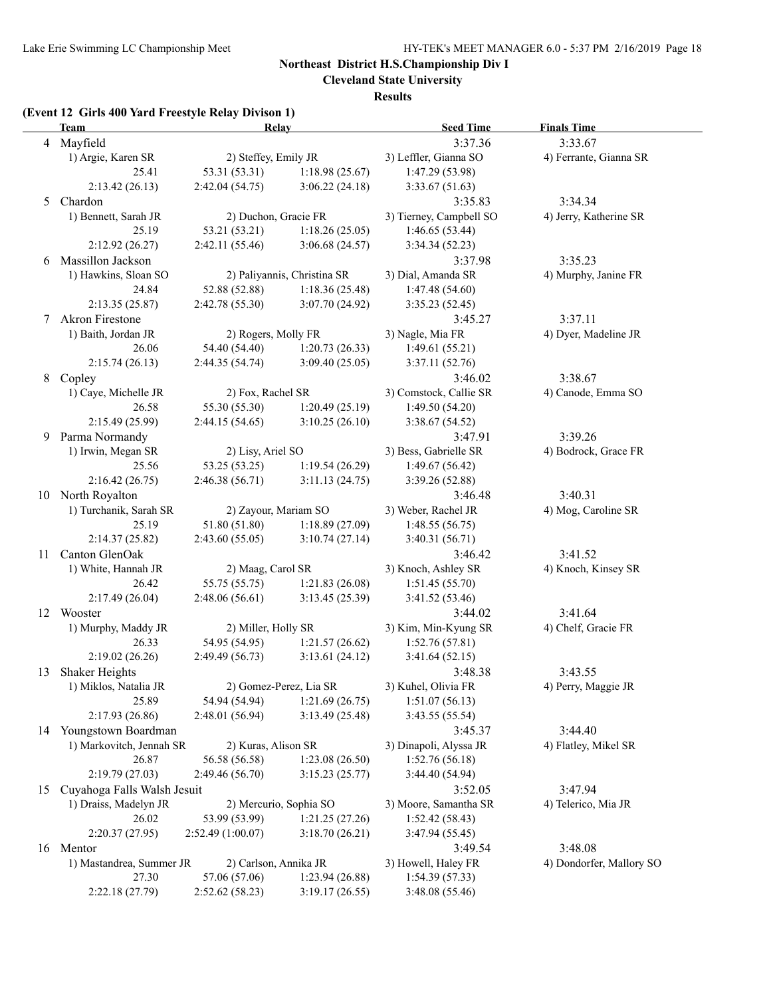**Cleveland State University**

#### **Results**

# **(Event 12 Girls 400 Yard Freestyle Relay Divison 1)**

|    | <b>Team</b>                 | Relay                 |                             | <b>Seed Time</b>        | <b>Finals Time</b>       |
|----|-----------------------------|-----------------------|-----------------------------|-------------------------|--------------------------|
|    | 4 Mayfield                  |                       |                             | 3:37.36                 | 3:33.67                  |
|    | 1) Argie, Karen SR          | 2) Steffey, Emily JR  |                             | 3) Leffler, Gianna SO   | 4) Ferrante, Gianna SR   |
|    | 25.41                       | 53.31 (53.31)         | 1:18.98(25.67)              | 1:47.29 (53.98)         |                          |
|    | 2:13.42(26.13)              | 2:42.04(54.75)        | 3:06.22(24.18)              | 3:33.67(51.63)          |                          |
| 5  | Chardon                     |                       |                             | 3:35.83                 | 3:34.34                  |
|    | 1) Bennett, Sarah JR        | 2) Duchon, Gracie FR  |                             | 3) Tierney, Campbell SO | 4) Jerry, Katherine SR   |
|    | 25.19                       | 53.21 (53.21)         | 1:18.26(25.05)              | 1:46.65(53.44)          |                          |
|    | 2:12.92(26.27)              | 2:42.11(55.46)        | 3:06.68 (24.57)             | 3:34.34(52.23)          |                          |
|    | 6 Massillon Jackson         |                       |                             | 3:37.98                 | 3:35.23                  |
|    | 1) Hawkins, Sloan SO        |                       | 2) Paliyannis, Christina SR | 3) Dial, Amanda SR      | 4) Murphy, Janine FR     |
|    | 24.84                       | 52.88 (52.88)         | 1:18.36(25.48)              | 1:47.48(54.60)          |                          |
|    | 2:13.35(25.87)              | 2:42.78 (55.30)       | 3:07.70 (24.92)             | 3:35.23(52.45)          |                          |
| 7  | Akron Firestone             |                       |                             | 3:45.27                 | 3:37.11                  |
|    | 1) Baith, Jordan JR         | 2) Rogers, Molly FR   |                             | 3) Nagle, Mia FR        | 4) Dyer, Madeline JR     |
|    | 26.06                       | 54.40 (54.40)         | 1:20.73(26.33)              | 1:49.61(55.21)          |                          |
|    | 2:15.74(26.13)              | 2:44.35(54.74)        | 3:09.40(25.05)              | 3:37.11 (52.76)         |                          |
| 8  | Copley                      |                       |                             | 3:46.02                 | 3:38.67                  |
|    | 1) Caye, Michelle JR        | 2) Fox, Rachel SR     |                             | 3) Comstock, Callie SR  | 4) Canode, Emma SO       |
|    | 26.58                       | 55.30 (55.30)         | 1:20.49(25.19)              | 1:49.50(54.20)          |                          |
|    | 2:15.49 (25.99)             | 2:44.15(54.65)        | 3:10.25(26.10)              | 3:38.67(54.52)          |                          |
| 9  | Parma Normandy              |                       |                             | 3:47.91                 | 3:39.26                  |
|    | 1) Irwin, Megan SR          | 2) Lisy, Ariel SO     |                             | 3) Bess, Gabrielle SR   | 4) Bodrock, Grace FR     |
|    | 25.56                       | 53.25 (53.25)         | 1:19.54(26.29)              | 1:49.67(56.42)          |                          |
|    | 2:16.42(26.75)              | 2:46.38(56.71)        | 3:11.13(24.75)              | 3:39.26 (52.88)         |                          |
| 10 | North Royalton              |                       |                             | 3:46.48                 | 3:40.31                  |
|    | 1) Turchanik, Sarah SR      | 2) Zayour, Mariam SO  |                             | 3) Weber, Rachel JR     | 4) Mog, Caroline SR      |
|    | 25.19                       | 51.80 (51.80)         | 1:18.89(27.09)              | 1:48.55(56.75)          |                          |
|    | 2:14.37(25.82)              | 2:43.60(55.05)        | 3:10.74(27.14)              | 3:40.31(56.71)          |                          |
| 11 | Canton GlenOak              |                       |                             | 3:46.42                 | 3:41.52                  |
|    | 1) White, Hannah JR         | 2) Maag, Carol SR     |                             | 3) Knoch, Ashley SR     | 4) Knoch, Kinsey SR      |
|    | 26.42                       | 55.75 (55.75)         | 1:21.83(26.08)              | 1:51.45(55.70)          |                          |
|    | 2:17.49(26.04)              | 2:48.06(56.61)        | 3:13.45(25.39)              | 3:41.52 (53.46)         |                          |
|    | 12 Wooster                  |                       |                             | 3:44.02                 | 3:41.64                  |
|    | 1) Murphy, Maddy JR         | 2) Miller, Holly SR   |                             | 3) Kim, Min-Kyung SR    | 4) Chelf, Gracie FR      |
|    | 26.33                       | 54.95 (54.95)         | 1:21.57(26.62)              | 1:52.76(57.81)          |                          |
|    | 2:19.02(26.26)              | 2:49.49 (56.73)       | 3:13.61(24.12)              | 3:41.64(52.15)          |                          |
| 13 | Shaker Heights              |                       |                             | 3:48.38                 | 3:43.55                  |
|    | 1) Miklos, Natalia JR       |                       | 2) Gomez-Perez, Lia SR      | 3) Kuhel, Olivia FR     | 4) Perry, Maggie JR      |
|    | 25.89                       | 54.94 (54.94)         | 1:21.69(26.75)              | 1:51.07(56.13)          |                          |
|    | 2:17.93 (26.86)             | 2:48.01 (56.94)       | 3:13.49 (25.48)             | 3:43.55 (55.54)         |                          |
| 14 | Youngstown Boardman         |                       |                             | 3:45.37                 | 3:44.40                  |
|    | 1) Markovitch, Jennah SR    | 2) Kuras, Alison SR   |                             | 3) Dinapoli, Alyssa JR  | 4) Flatley, Mikel SR     |
|    | 26.87                       | 56.58 (56.58)         | 1:23.08(26.50)              | 1:52.76(56.18)          |                          |
|    | 2:19.79(27.03)              | 2:49.46 (56.70)       | 3:15.23(25.77)              | 3:44.40 (54.94)         |                          |
| 15 | Cuyahoga Falls Walsh Jesuit |                       |                             | 3:52.05                 | 3:47.94                  |
|    | 1) Draiss, Madelyn JR       |                       | 2) Mercurio, Sophia SO      | 3) Moore, Samantha SR   | 4) Telerico, Mia JR      |
|    | 26.02                       | 53.99 (53.99)         | 1:21.25(27.26)              | 1:52.42 (58.43)         |                          |
|    | 2:20.37(27.95)              | 2:52.49 (1:00.07)     | 3:18.70(26.21)              | 3:47.94(55.45)          |                          |
|    | 16 Mentor                   |                       |                             | 3:49.54                 | 3:48.08                  |
|    | 1) Mastandrea, Summer JR    | 2) Carlson, Annika JR |                             | 3) Howell, Haley FR     | 4) Dondorfer, Mallory SO |
|    | 27.30                       | 57.06 (57.06)         | 1:23.94(26.88)              | 1:54.39(57.33)          |                          |
|    | 2:22.18 (27.79)             | 2:52.62(58.23)        | 3:19.17(26.55)              | 3:48.08 (55.46)         |                          |
|    |                             |                       |                             |                         |                          |